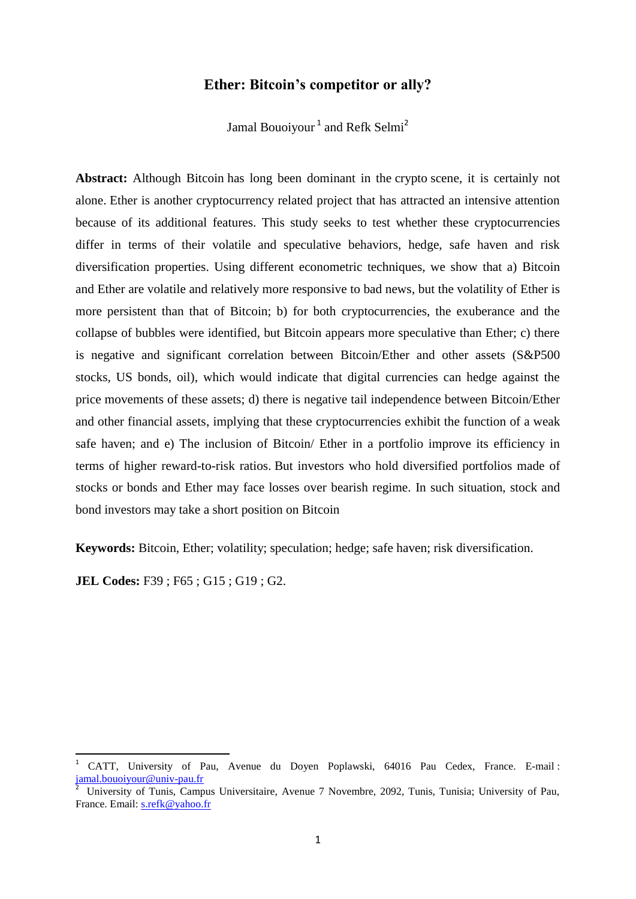# **[Ether: Bitcoin's competitor or ally?](https://www.google.tn/url?sa=t&rct=j&q=&esrc=s&source=web&cd=18&ved=0ahUKEwiiw6OpzJfVAhWLvBoKHZl9B9M4ChAWCEwwBw&url=https%3A%2F%2Fwww.reddit.com%2Fr%2Fbtc%2Fcomments%2F6j7eby%2Fethereum_bitcoins_competitor_ally_or_both%2F&usg=AFQjCNG-KqWkbp6wJ7d9Lb3ofAMl9l9uIQ)**

Jamal Bouoiyour<sup>1</sup> and Refk Selmi<sup>2</sup>

**Abstract:** Although [Bitcoin](http://blockgeeks.com/guides/what-is-bitcoin-a-step-by-step-guide/) has long been dominant in the [crypto](http://blockgeeks.com/guides/what-is-cryptocurrency/) scene, it is certainly not alone. [Ether](http://blockgeeks.com/guides/what-is-ethereum/) is another cryptocurrency related project that has attracted an intensive attention because of its additional features. This study seeks to test whether these cryptocurrencies differ in terms of their volatile and speculative behaviors, hedge, safe haven and risk diversification properties. Using different econometric techniques, we show that a) Bitcoin and Ether are volatile and relatively more responsive to bad news, but the volatility of Ether is more persistent than that of Bitcoin; b) for both cryptocurrencies, the exuberance and the collapse of bubbles were identified, but Bitcoin appears more speculative than Ether; c) there is negative and significant correlation between Bitcoin/Ether and other assets (S&P500 stocks, US bonds, oil), which would indicate that digital currencies can hedge against the price movements of these assets; d) there is negative tail independence between Bitcoin/Ether and other financial assets, implying that these cryptocurrencies exhibit the function of a weak safe haven; and e) The inclusion of Bitcoin/ Ether in a portfolio improve its efficiency in terms of higher reward-to-risk ratios. But investors who hold diversified portfolios made of stocks or bonds and Ether may face losses over bearish regime. In such situation, stock and bond investors may take a short position on Bitcoin

**Keywords:** Bitcoin, Ether; volatility; speculation; hedge; safe haven; risk diversification.

**JEL Codes:** F39 ; F65 ; G15 ; G19 ; G2.

 $\overline{a}$ 

<sup>1</sup> CATT, University of Pau, Avenue du Doyen Poplawski, 64016 Pau Cedex, France. E-mail : [jamal.bouoiyour@univ-pau.fr](mailto:jamal.bouoiyour@univ-pau.fr)

<sup>2</sup> University of Tunis, Campus Universitaire, Avenue 7 Novembre, 2092, Tunis, Tunisia; University of Pau, France. Email: [s.refk@yahoo.fr](mailto:s.refk@yahoo.fr)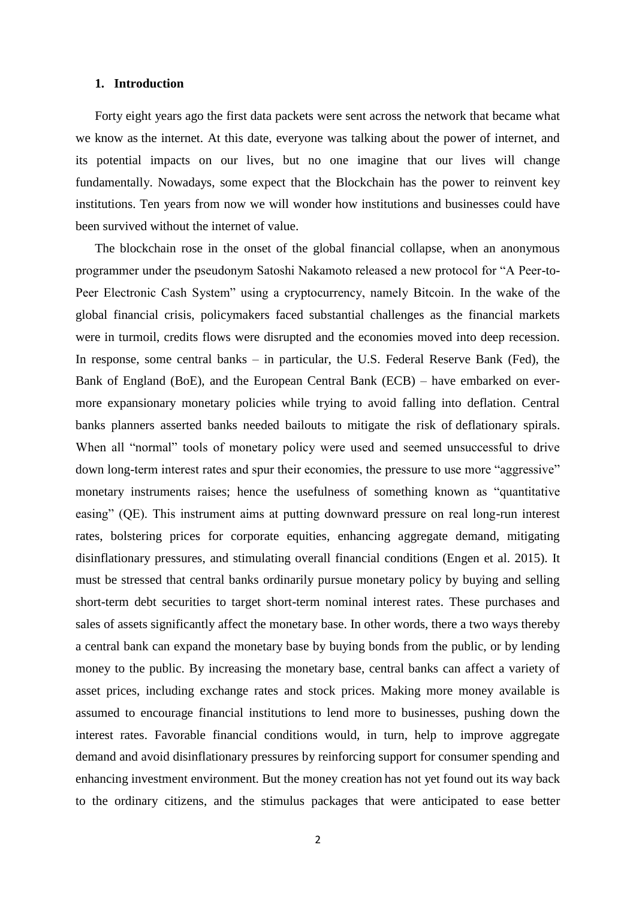## **1. Introduction**

Forty eight years ago the first data packets were sent across the network that became what we know as the internet. At this date, everyone was talking about the power of internet, and its potential impacts on our lives, but no one imagine that our lives will change fundamentally. Nowadays, some expect that the Blockchain has the power to reinvent key institutions. Ten years from now we will wonder how institutions and businesses could have been survived without the internet of value.

The blockchain rose in the onset of the global financial collapse, when an anonymous programmer under the pseudonym Satoshi Nakamoto released a new protocol for "A Peer-to-Peer Electronic Cash System" using a cryptocurrency, namely Bitcoin. In the wake of the global financial crisis, policymakers faced substantial challenges as the financial markets were in turmoil, credits flows were disrupted and the economies moved into deep recession. In response, some central banks – in particular, the U.S. Federal Reserve Bank (Fed), the Bank of England (BoE), and the European Central Bank (ECB) – have embarked on evermore expansionary monetary policies while trying to avoid falling into deflation. Central banks planners asserted banks needed bailouts to mitigate the risk of deflationary spirals. When all "normal" tools of monetary policy were used and seemed unsuccessful to drive down long-term interest rates and spur their economies, the pressure to use more "aggressive" monetary instruments raises; hence the usefulness of something known as "quantitative easing" (QE). This instrument aims at putting downward pressure on real long-run interest rates, bolstering prices for corporate equities, enhancing aggregate demand, mitigating disinflationary pressures, and stimulating overall financial conditions (Engen et al. 2015). It must be stressed that central banks ordinarily pursue monetary policy by buying and selling short-term debt securities to target short-term nominal interest rates. These purchases and sales of assets significantly affect the monetary base. In other words, there a two ways thereby a central bank can expand the monetary base by buying bonds from the public, or by lending money to the public. By increasing the monetary base, central banks can affect a variety of asset prices, including exchange rates and stock prices. Making more money available is assumed to encourage financial institutions to lend more to businesses, pushing down the interest rates. Favorable financial conditions would, in turn, help to improve aggregate demand and avoid disinflationary pressures by reinforcing support for consumer spending and enhancing investment environment. But the money creation has not yet found out its way back to the ordinary citizens, and the stimulus packages that were anticipated to ease better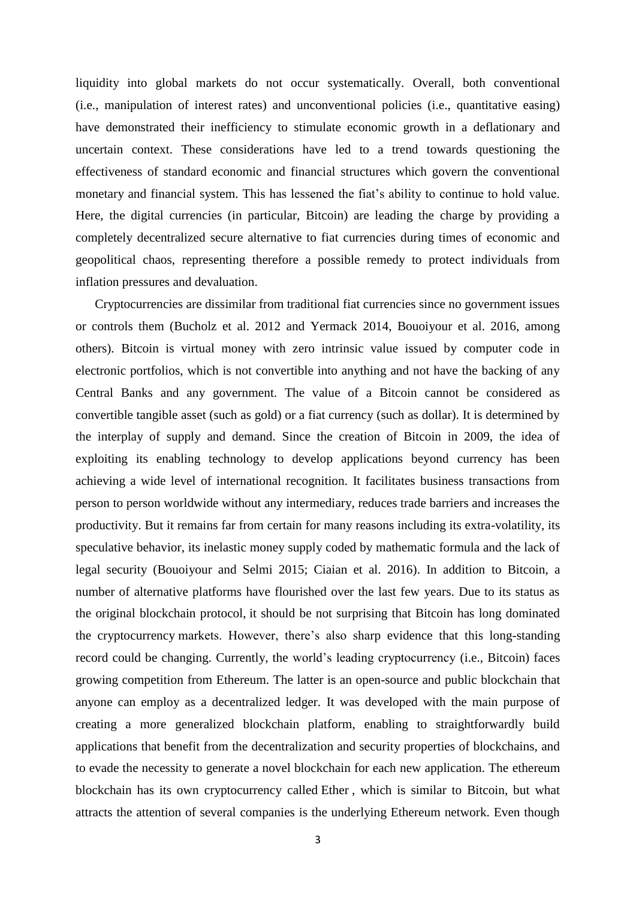liquidity into global markets do not occur systematically. Overall, both conventional (i.e., manipulation of interest rates) and unconventional policies (i.e., quantitative easing) have demonstrated their inefficiency to stimulate economic growth in a deflationary and uncertain context. These considerations have led to a trend towards questioning the effectiveness of standard economic and financial structures which govern the conventional monetary and financial system. This has lessened the fiat's ability to continue to hold value. Here, the digital currencies (in particular, Bitcoin) are leading the charge by providing a completely decentralized secure alternative to fiat currencies during times of economic and geopolitical chaos, representing therefore a possible remedy to protect individuals from inflation pressures and devaluation.

Cryptocurrencies are dissimilar from traditional fiat currencies since no government issues or controls them (Bucholz et al. 2012 and Yermack 2014, Bouoiyour et al. 2016, among others). Bitcoin is virtual money with zero intrinsic value issued by computer code in electronic portfolios, which is not convertible into anything and not have the backing of any Central Banks and any government. The value of a Bitcoin cannot be considered as convertible tangible asset (such as gold) or a fiat currency (such as dollar). It is determined by the interplay of supply and demand. Since the creation of Bitcoin in 2009, the idea of exploiting its enabling technology to develop applications beyond currency has been achieving a wide level of international recognition. It facilitates business transactions from person to person worldwide without any intermediary, reduces trade barriers and increases the productivity. But it remains far from certain for many reasons including its extra-volatility, its speculative behavior, its inelastic money supply coded by mathematic formula and the lack of legal security (Bouoiyour and Selmi 2015; Ciaian et al. 2016). In addition to Bitcoin, a number of alternative platforms have flourished over the last few years. Due to its status as the original blockchain protocol, it should be not surprising that Bitcoin has long dominated the cryptocurrency markets. However, there's also sharp evidence that this long-standing record could be changing. Currently, the world's leading cryptocurrency (i.e., Bitcoin) faces growing competition from [Ethereum.](https://www.investing.com/currencies/etc-usd) The latter is an open-source and public blockchain that anyone can employ as a decentralized ledger. It was developed with the main purpose of creating a more generalized blockchain platform, enabling to straightforwardly build applications that benefit from the decentralization and security properties of blockchains, and to evade the necessity to generate a novel blockchain for each new application. The [ethereum](https://www.investing.com/currencies/etc-usd) blockchain has its own cryptocurrency called [Ether](http://www.cnbc.com/2017/03/14/ether-ethereum-cryptocurrency-hits-all-time-high-and-2-billion-market-cap-bitcoin.html) , which is similar to Bitcoin, but what attracts the attention of several companies is the underlying Ethereum network. Even though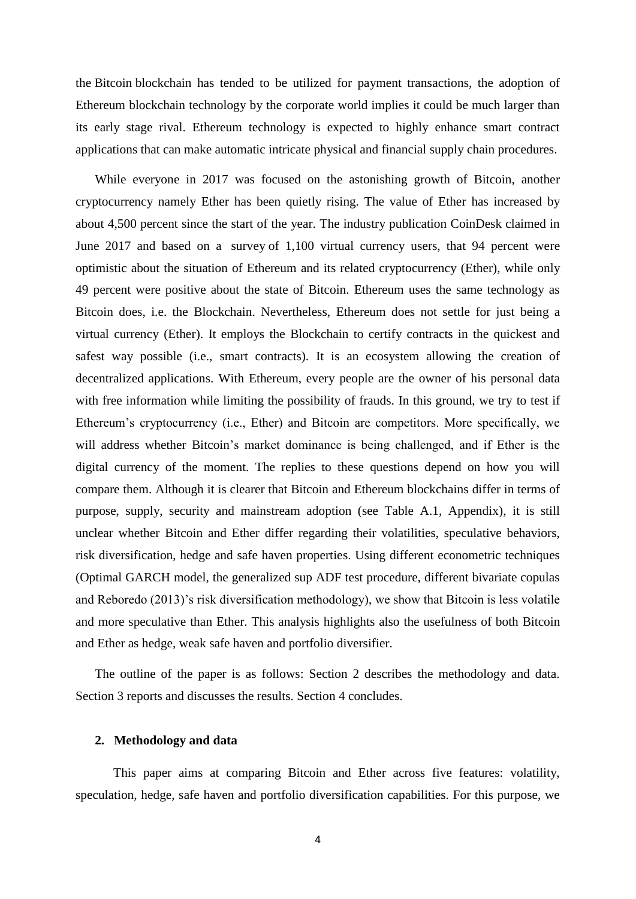the [Bitcoin](http://cnbc.com/quotes?symbol=BTC%3D-USS) blockchain has tended to be utilized for payment transactions, the adoption of Ethereum blockchain technology by the corporate world implies it could be much larger than its early stage rival. Ethereum technology is expected to highly enhance smart contract applications that can make automatic intricate physical and financial supply chain procedures.

While everyone in 2017 was focused on the astonishing growth of Bitcoin, another cryptocurrency namely Ether has been quietly rising. The value of Ether has increased by about 4,500 percent since the start of the year. The industry publication CoinDesk claimed in June 2017 and based on a [survey](http://www.coindesk.com/charts-enthusiasm-ethereum-hit-time-high-q1/) of 1,100 virtual currency users, that 94 percent were optimistic about the situation of Ethereum and its related cryptocurrency (Ether), while only 49 percent were positive about the state of Bitcoin. Ethereum uses the same technology as Bitcoin does, i.e. the Blockchain. Nevertheless, Ethereum does not settle for just being a virtual currency (Ether). It employs the Blockchain to certify contracts in the quickest and safest way possible (i.e., smart contracts). It is an ecosystem allowing the creation of decentralized applications. With Ethereum, every people are the owner of his personal data with free information while limiting the possibility of frauds. In this ground, we try to test if Ethereum's cryptocurrency (i.e., Ether) and Bitcoin are competitors. More specifically, we will address whether Bitcoin's market dominance is being challenged, and if Ether is the digital currency of the moment. The replies to these questions depend on how you will compare them. Although it is clearer that Bitcoin and Ethereum blockchains differ in terms of purpose, supply, security and mainstream adoption (see Table A.1, Appendix), it is still unclear whether Bitcoin and Ether differ regarding their volatilities, speculative behaviors, risk diversification, hedge and safe haven properties. Using different econometric techniques (Optimal GARCH model, the generalized sup ADF test procedure, different bivariate copulas and Reboredo (2013)'s risk diversification methodology), we show that Bitcoin is less volatile and more speculative than Ether. This analysis highlights also the usefulness of both Bitcoin and Ether as hedge, weak safe haven and portfolio diversifier.

The outline of the paper is as follows: Section 2 describes the methodology and data. Section 3 reports and discusses the results. Section 4 concludes.

## **2. Methodology and data**

This paper aims at comparing Bitcoin and Ether across five features: volatility, speculation, hedge, safe haven and portfolio diversification capabilities. For this purpose, we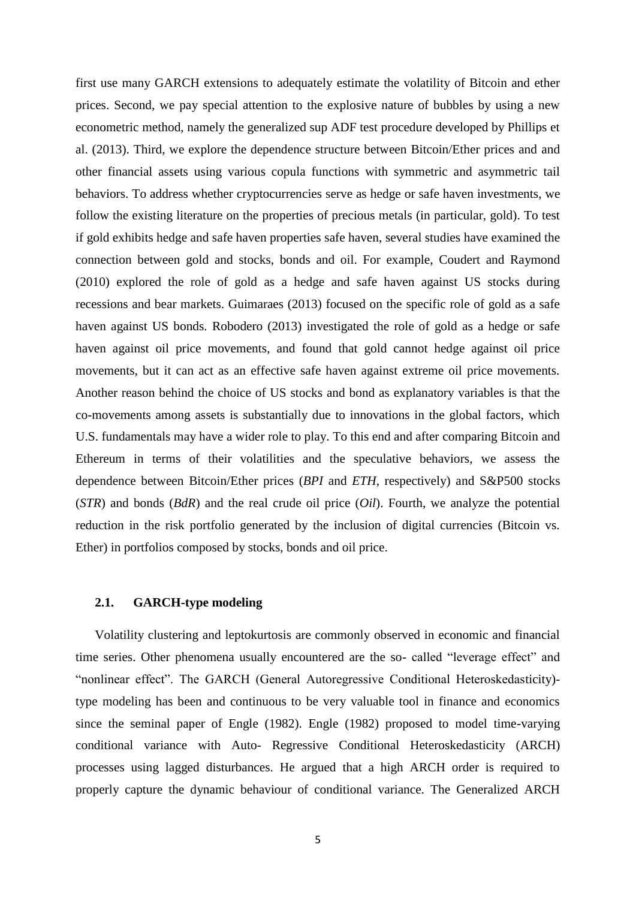first use many GARCH extensions to adequately estimate the volatility of Bitcoin and ether prices. Second, we pay special attention to the explosive nature of bubbles by using a new econometric method, namely the generalized sup ADF test procedure developed by Phillips et al. (2013). Third, we explore the dependence structure between Bitcoin/Ether prices and and other financial assets using various copula functions with symmetric and asymmetric tail behaviors. To address whether cryptocurrencies serve as hedge or safe haven investments, we follow the existing literature on the properties of precious metals (in particular, gold). To test if gold exhibits hedge and safe haven properties safe haven, several studies have examined the connection between gold and stocks, bonds and oil. For example, Coudert and Raymond (2010) explored the role of gold as a hedge and safe haven against US stocks during recessions and bear markets. Guimaraes (2013) focused on the specific role of gold as a safe haven against US bonds. Robodero (2013) investigated the role of gold as a hedge or safe haven against oil price movements, and found that gold cannot hedge against oil price movements, but it can act as an effective safe haven against extreme oil price movements. Another reason behind the choice of US stocks and bond as explanatory variables is that the co-movements among assets is substantially due to innovations in the global factors, which U.S. fundamentals may have a wider role to play. To this end and after comparing Bitcoin and Ethereum in terms of their volatilities and the speculative behaviors, we assess the dependence between Bitcoin/Ether prices (*BPI* and *ETH*, respectively) and S&P500 stocks (*STR*) and bonds (*BdR*) and the real crude oil price (*Oil*). Fourth, we analyze the potential reduction in the risk portfolio generated by the inclusion of digital currencies (Bitcoin vs. Ether) in portfolios composed by stocks, bonds and oil price.

### **2.1. GARCH-type modeling**

Volatility clustering and leptokurtosis are commonly observed in economic and financial time series. Other phenomena usually encountered are the so- called "leverage effect" and "nonlinear effect". The GARCH (General Autoregressive Conditional Heteroskedasticity) type modeling has been and continuous to be very valuable tool in finance and economics since the seminal paper of Engle (1982). Engle (1982) proposed to model time-varying conditional variance with Auto- Regressive Conditional Heteroskedasticity (ARCH) processes using lagged disturbances. He argued that a high ARCH order is required to properly capture the dynamic behaviour of conditional variance. The Generalized ARCH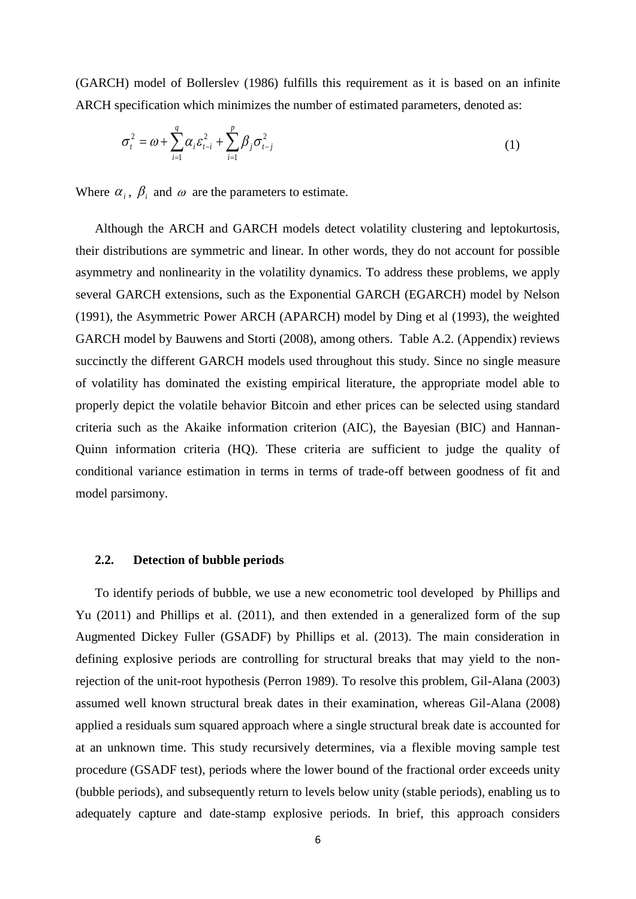(GARCH) model of Bollerslev (1986) fulfills this requirement as it is based on an infinite ARCH specification which minimizes the number of estimated parameters, denoted as:

$$
\sigma_t^2 = \omega + \sum_{i=1}^q \alpha_i \varepsilon_{t-i}^2 + \sum_{i=1}^p \beta_j \sigma_{t-j}^2
$$
 (1)

Where  $\alpha_i$ ,  $\beta_i$  and  $\omega$  are the parameters to estimate.

Although the ARCH and GARCH models detect volatility clustering and leptokurtosis, their distributions are symmetric and linear. In other words, they do not account for possible asymmetry and nonlinearity in the volatility dynamics. To address these problems, we apply several GARCH extensions, such as the Exponential GARCH (EGARCH) model by Nelson (1991), the Asymmetric Power ARCH (APARCH) model by Ding et al (1993), the weighted GARCH model by Bauwens and Storti (2008), among others. Table A.2. (Appendix) reviews succinctly the different GARCH models used throughout this study. Since no single measure of volatility has dominated the existing empirical literature, the appropriate model able to properly depict the volatile behavior Bitcoin and ether prices can be selected using standard criteria such as the Akaike information criterion (AIC), the Bayesian (BIC) and Hannan-Quinn information criteria (HQ). These criteria are sufficient to judge the quality of conditional variance estimation in terms in terms of trade-off between goodness of fit and model parsimony.

# **2.2. Detection of bubble periods**

To identify periods of bubble, we use a new econometric tool developed by Phillips and Yu (2011) and Phillips et al. (2011), and then extended in a generalized form of the sup Augmented Dickey Fuller (GSADF) by Phillips et al. (2013). The main consideration in defining explosive periods are controlling for structural breaks that may yield to the nonrejection of the unit-root hypothesis (Perron 1989). To resolve this problem, Gil-Alana (2003) assumed well known structural break dates in their examination, whereas Gil-Alana (2008) applied a residuals sum squared approach where a single structural break date is accounted for at an unknown time. This study recursively determines, via a flexible moving sample test procedure (GSADF test), periods where the lower bound of the fractional order exceeds unity (bubble periods), and subsequently return to levels below unity (stable periods), enabling us to adequately capture and date-stamp explosive periods. In brief, this approach considers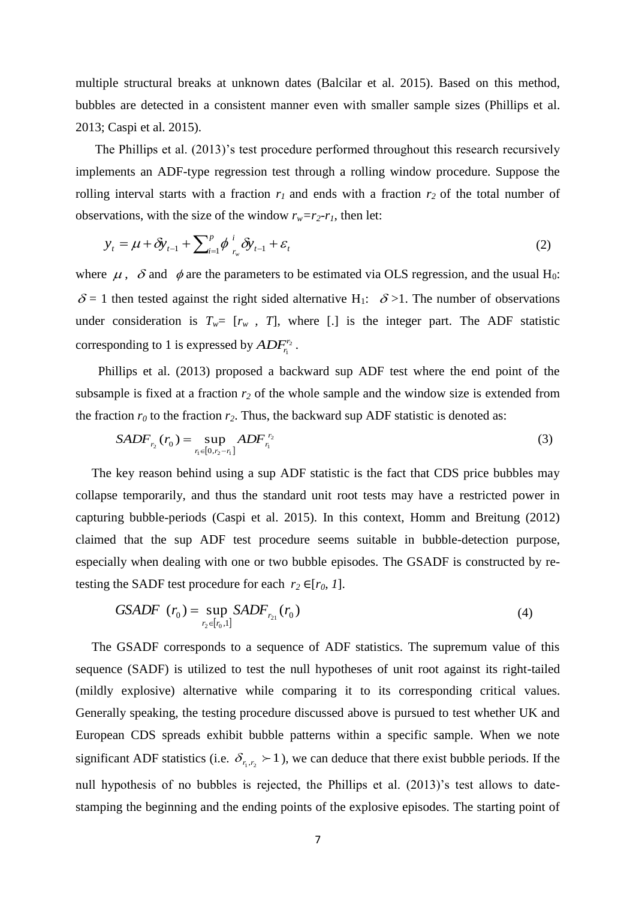multiple structural breaks at unknown dates (Balcilar et al. 2015). Based on this method, bubbles are detected in a consistent manner even with smaller sample sizes (Phillips et al. 2013; Caspi et al. 2015).

The Phillips et al. (2013)'s test procedure performed throughout this research recursively implements an ADF-type regression test through a rolling window procedure. Suppose the rolling interval starts with a fraction  $r_1$  and ends with a fraction  $r_2$  of the total number of observations, with the size of the window  $r_w = r_2 - r_1$ , then let:

$$
y_{t} = \mu + \delta y_{t-1} + \sum_{i=1}^{p} \phi_{r_{w}}^{i} \delta y_{t-1} + \varepsilon_{t}
$$
 (2)

where  $\mu$ ,  $\delta$  and  $\phi$  are the parameters to be estimated via OLS regression, and the usual H<sub>0</sub>:  $\delta$  = 1 then tested against the right sided alternative H<sub>1</sub>:  $\delta$  >1. The number of observations under consideration is  $T_w = [r_w, T]$ , where [.] is the integer part. The ADF statistic corresponding to 1 is expressed by  $ADF<sub>n</sub><sup>r<sub>2</sub></sup>$ 1  $ADF^{r_2}_{r_1}$  .

 Phillips et al. (2013) proposed a backward sup ADF test where the end point of the subsample is fixed at a fraction  $r_2$  of the whole sample and the window size is extended from the fraction  $r_0$  to the fraction  $r_2$ . Thus, the backward sup ADF statistic is denoted as:

$$
SADF_{r_2}(r_0) = \sup_{r_1 \in [0, r_2 - r_1]} ADF_{r_1}^{r_2}
$$
\n(3)

 The key reason behind using a sup ADF statistic is the fact that CDS price bubbles may collapse temporarily, and thus the standard unit root tests may have a restricted power in capturing bubble-periods (Caspi et al. 2015). In this context, Homm and Breitung (2012) claimed that the sup ADF test procedure seems suitable in bubble-detection purpose, especially when dealing with one or two bubble episodes. The GSADF is constructed by retesting the SADF test procedure for each  $r_2 \in [r_0, 1]$ .

GSADE 
$$
(r_0) = \sup_{r_2 \in [r_0, 1]} SADF_{r_{21}}(r_0)
$$
 (4)

 The GSADF corresponds to a sequence of ADF statistics. The supremum value of this sequence (SADF) is utilized to test the null hypotheses of unit root against its right-tailed (mildly explosive) alternative while comparing it to its corresponding critical values. Generally speaking, the testing procedure discussed above is pursued to test whether UK and European CDS spreads exhibit bubble patterns within a specific sample. When we note significant ADF statistics (i.e.  $\delta_{r_1,r_2}$  > 1), we can deduce that there exist bubble periods. If the null hypothesis of no bubbles is rejected, the Phillips et al. (2013)'s test allows to datestamping the beginning and the ending points of the explosive episodes. The starting point of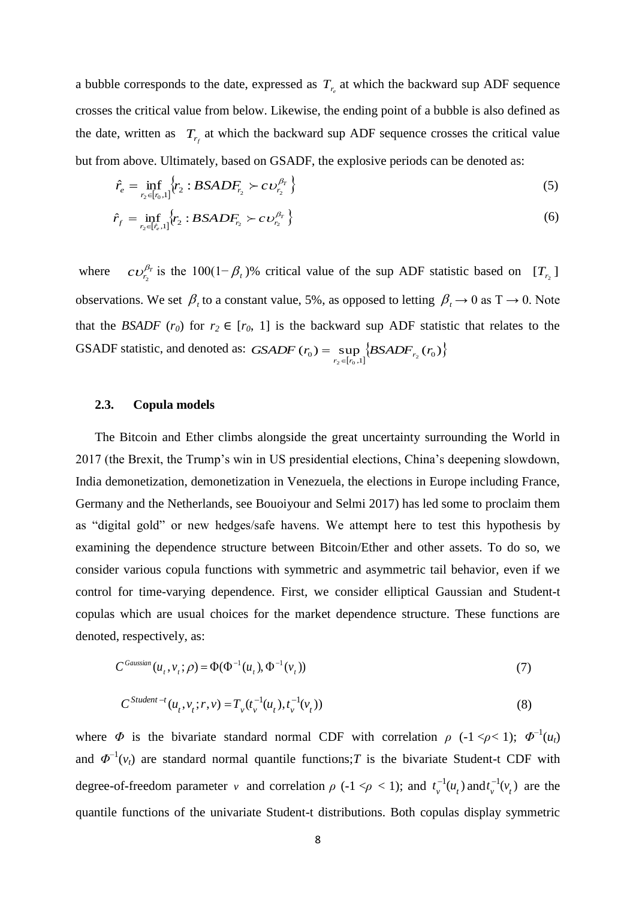a bubble corresponds to the date, expressed as  $T_{r_e}$  at which the backward sup ADF sequence crosses the critical value from below. Likewise, the ending point of a bubble is also defined as the date, written as  $T_{r_f}$  at which the backward sup ADF sequence crosses the critical value but from above. Ultimately, based on GSADF, the explosive periods can be denoted as:

$$
\hat{r}_e = \inf_{r_2 \in [r_0,1]} \{r_2 : BSADF_{r_2} \succ c \nu_{r_2}^{\beta_T} \}
$$
\n(5)

$$
\hat{r}_f = \inf_{r_2 \in [\hat{r}_e, 1]} \{ r_2 : BSADF_{r_2} \succ c \, \upsilon_{r_2}^{\beta_T} \} \tag{6}
$$

where  $cv_{r_2}^{\beta_r}$  is the 100(1- $\beta_t$ )% critical value of the sup ADF statistic based on  $[T_{r_2}]$ observations. We set  $\beta_t$  to a constant value, 5%, as opposed to letting  $\beta_t \to 0$  as T  $\to 0$ . Note that the *BSADF* (*r*<sub>0</sub>) for  $r_2 \in [r_0, 1]$  is the backward sup ADF statistic that relates to the GSADF statistic, and denoted as:  $GSADF (r_0) = \sup_{r_2 \in [r_0,1]} \{BSADF_{r_2}(r_0)\}$ 

## **2.3. Copula models**

The Bitcoin and Ether climbs alongside the great uncertainty surrounding the World in 2017 (the Brexit, the Trump's win in US presidential elections, China's deepening slowdown, India demonetization, demonetization in Venezuela, the elections in Europe including France, Germany and the Netherlands, see Bouoiyour and Selmi 2017) has led [some to proclaim](https://twitter.com/barrysilbert/status/746185665419808768?ref_src=twsrc%5Etfw) them as "digital gold" or new hedges/safe havens. We attempt here to test this hypothesis by examining the dependence structure between Bitcoin/Ether and other assets. To do so, we consider various copula functions with symmetric and asymmetric tail behavior, even if we control for time-varying dependence. First, we consider elliptical Gaussian and Student-t copulas which are usual choices for the market dependence structure. These functions are denoted, respectively, as:

$$
C^{Gaussian}(u_t, v_t; \rho) = \Phi(\Phi^{-1}(u_t), \Phi^{-1}(v_t))
$$
\n<sup>(7)</sup>

$$
C^{Student-t}(u_t, v_t; r, v) = T_v(t_v^{-1}(u_t), t_v^{-1}(v_t))
$$
\n(8)

where  $\Phi$  is the bivariate standard normal CDF with correlation  $\rho$  (-1 <  $\rho$  < 1);  $\Phi^{-1}(u_t)$ and  $\Phi^{-1}(v_t)$  are standard normal quantile functions;*T* is the bivariate Student-t CDF with degree-of-freedom parameter *v* and correlation  $\rho$  (-1 < $\rho$  < 1); and  $t_v^{-1}(u_t)$  and  $t_v^{-1}(v_t)$  are the quantile functions of the univariate Student-t distributions. Both copulas display symmetric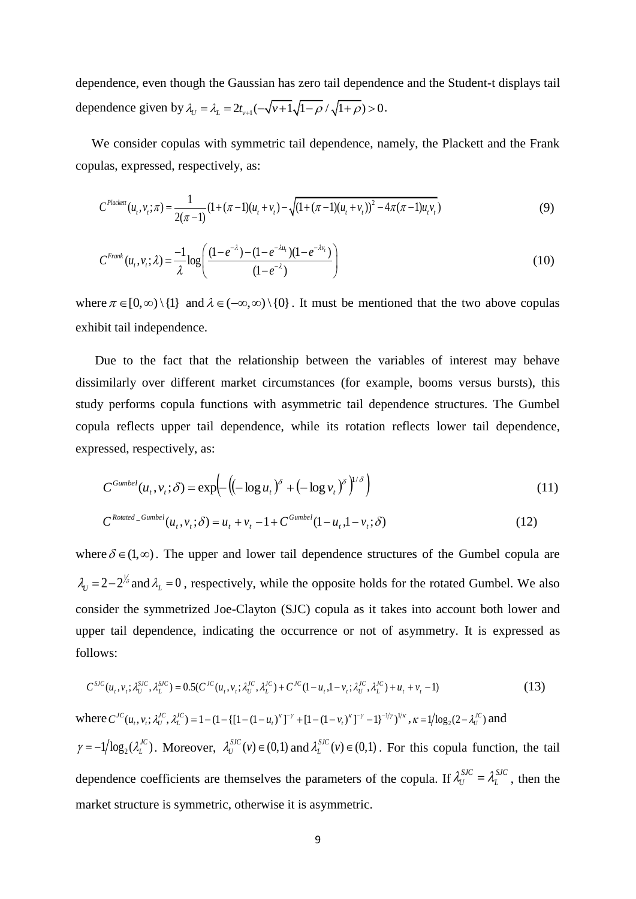dependence, even though the Gaussian has zero tail dependence and the Student-t displays tail dependence, even mough the Gaussian has zero tan dependence<br>dependence given by  $\lambda_U = \lambda_L = 2t_{V+1}(-\sqrt{V+1}\sqrt{1-\rho}/\sqrt{1+\rho}) > 0$ .

 We consider copulas with symmetric tail dependence, namely, the Plackett and the Frank copulas, expressed, respectively, as:

llas, expressed, respectively, as:  
\n
$$
C^{Placket}(u_t, v_t; \pi) = \frac{1}{2(\pi - 1)} (1 + (\pi - 1)(u_t + v_t) - \sqrt{(1 + (\pi - 1)(u_t + v_t))^2 - 4\pi(\pi - 1)u_t v_t})
$$
\n(9)

$$
C^{Frank}(u_t, v_t; \lambda) = \frac{-1}{\lambda} \log \left( \frac{(1 - e^{-\lambda}) - (1 - e^{-\lambda u_t})(1 - e^{-\lambda v_t})}{(1 - e^{-\lambda})} \right)
$$
(10)

where  $\pi \in [0, \infty) \setminus \{1\}$  and  $\lambda \in (-\infty, \infty) \setminus \{0\}$ . It must be mentioned that the two above copulas exhibit tail independence.

 Due to the fact that the relationship between the variables of interest may behave dissimilarly over different market circumstances (for example, booms versus bursts), this study performs copula functions with asymmetric tail dependence structures. The Gumbel copula reflects upper tail dependence, while its rotation reflects lower tail dependence, expressed, respectively, as:

$$
C^{Gumbel}(u_t, v_t; \delta) = \exp\left(-\left((-\log u_t)^{\delta} + (-\log v_t)^{\delta}\right)^{1/\delta}\right)
$$
\n(11)

$$
C^{Rotated\_Gumbel}(u_t, v_t; \delta) = u_t + v_t - 1 + C^{Gumbel}(1 - u_t, 1 - v_t; \delta)
$$
\n(12)

where  $\delta \in (1, \infty)$ . The upper and lower tail dependence structures of the Gumbel copula are  $\lambda_U = 2 - 2^{\frac{1}{6}}$  and  $\lambda_L = 0$ , respectively, while the opposite holds for the rotated Gumbel. We also consider the symmetrized Joe-Clayton (SJC) copula as it takes into account both lower and upper tail dependence, indicating the occurrence or not of asymmetry. It is expressed as follows:

$$
C^{SC}(u_t, v_t; \lambda_t^{SIC}, \lambda_L^{SIC}) = 0.5(C^{IC}(u_t, v_t; \lambda_t^{IC}, \lambda_t^{IC}) + C^{IC}(1 - u_t, 1 - v_t; \lambda_t^{IC}, \lambda_L^{IC}) + u_t + v_t - 1)
$$
(13)

where  $C^{JC}(u_t, v_t; \lambda_U^{JC}, \lambda_L^{JC}) = 1 - (1 - \{[1 - (1 - u_t)^{\kappa}]^{-\gamma} + [1 - (1 - v_t)^{\kappa}]^{-\gamma} - 1\}^{-1/\gamma})^{1/\kappa}, \kappa = 1/\log_2(2 - \lambda_U^{JC})$  and  $\gamma = -1/\log_2(\lambda_L^{JC})$ . Moreover,  $\lambda_U^{SJC}(v) \in (0,1)$  and  $\lambda_L^{SJC}(v) \in (0,1)$ . For this copula function, the tail dependence coefficients are themselves the parameters of the copula. If  $\lambda_U^{SJC} = \lambda_L^{SJC}$ , then the market structure is symmetric, otherwise it is asymmetric.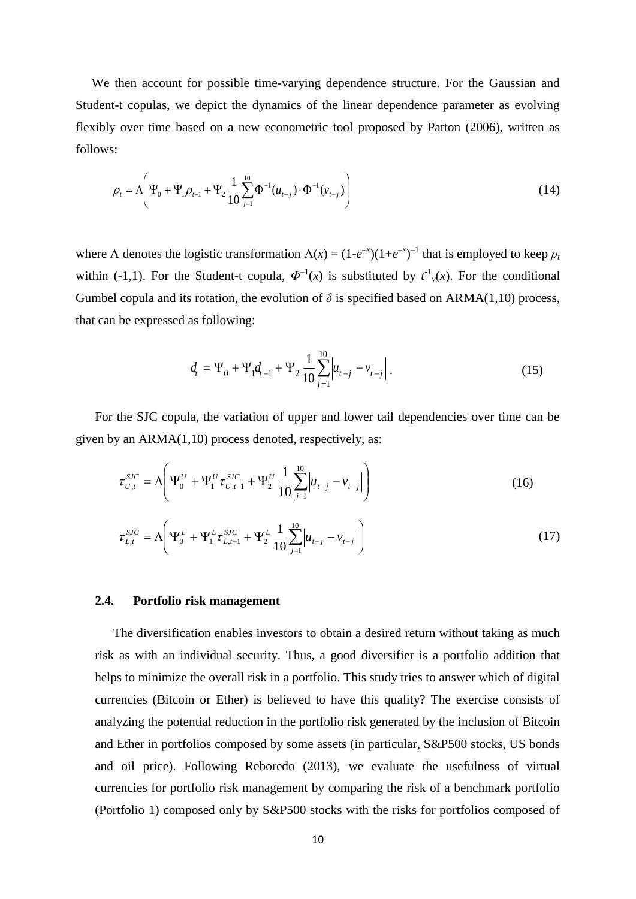We then account for possible time-varying dependence structure. For the Gaussian and Student-t copulas, we depict the dynamics of the linear dependence parameter as evolving flexibly over time based on a new econometric tool proposed by Patton (2006), written as follows:

$$
\rho_{t} = \Lambda \left( \Psi_{0} + \Psi_{1} \rho_{t-1} + \Psi_{2} \frac{1}{10} \sum_{j=1}^{10} \Phi^{-1}(u_{t-j}) \cdot \Phi^{-1}(v_{t-j}) \right)
$$
(14)

where  $\Lambda$  denotes the logistic transformation  $\Lambda(x) = (1 - e^{-x})(1 + e^{-x})^{-1}$  that is employed to keep  $\rho_t$ within (-1,1). For the Student-t copula,  $\Phi^{-1}(x)$  is substituted by  $t^{-1}(x)$ . For the conditional Gumbel copula and its rotation, the evolution of  $\delta$  is specified based on ARMA(1,10) process, that can be expressed as following:

$$
d_{t} = \Psi_{0} + \Psi_{1}d_{t-1} + \Psi_{2}\frac{1}{10}\sum_{j=1}^{10}\left|u_{t-j} - v_{t-j}\right|.
$$
 (15)

 For the SJC copula, the variation of upper and lower tail dependencies over time can be given by an ARMA(1,10) process denoted, respectively, as:

$$
\tau_{U,t}^{SJC} = \Lambda \left( \Psi_0^U + \Psi_1^U \tau_{U,t-1}^{SJC} + \Psi_2^U \frac{1}{10} \sum_{j=1}^{10} \left| u_{t-j} - v_{t-j} \right| \right)
$$
(16)

$$
\tau_{L,t}^{SJC} = \Lambda \left( \Psi_0^L + \Psi_1^L \tau_{L,t-1}^{SJC} + \Psi_2^L \frac{1}{10} \sum_{j=1}^{10} \left| u_{t-j} - v_{t-j} \right| \right)
$$
(17)

#### **2.4. Portfolio risk management**

The diversification enables investors to obtain a desired return without taking as much risk as with an individual security. Thus, a good diversifier is a portfolio addition that helps to minimize the overall risk in a portfolio. This study tries to answer which of digital currencies (Bitcoin or Ether) is believed to have this quality? The exercise consists of analyzing the potential reduction in the portfolio risk generated by the inclusion of Bitcoin and Ether in portfolios composed by some assets (in particular, S&P500 stocks, US bonds and oil price). Following Reboredo (2013), we evaluate the usefulness of virtual currencies for portfolio risk management by comparing the risk of a benchmark portfolio (Portfolio 1) composed only by S&P500 stocks with the risks for portfolios composed of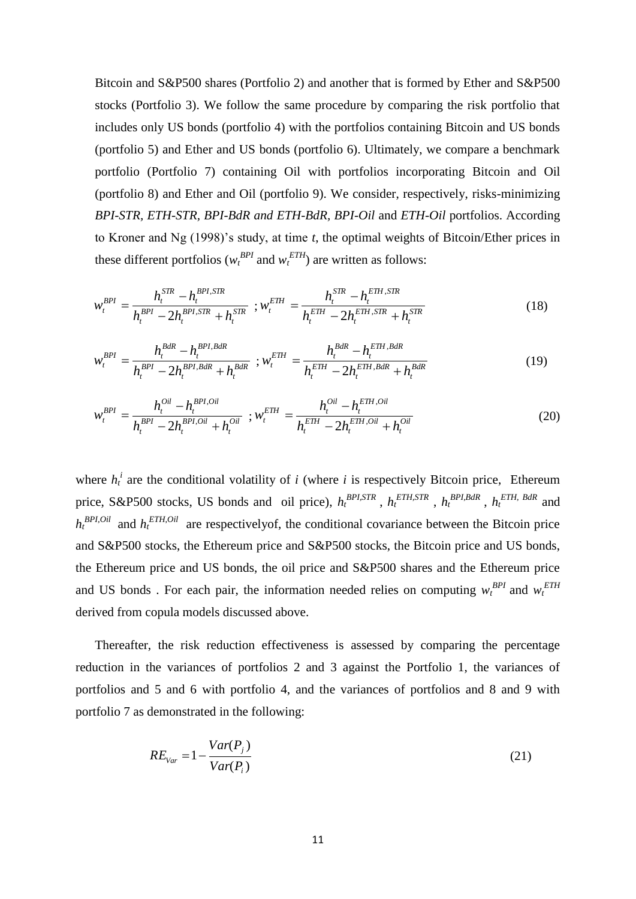Bitcoin and S&P500 shares (Portfolio 2) and another that is formed by Ether and S&P500 stocks (Portfolio 3). We follow the same procedure by comparing the risk portfolio that includes only US bonds (portfolio 4) with the portfolios containing Bitcoin and US bonds (portfolio 5) and Ether and US bonds (portfolio 6). Ultimately, we compare a benchmark portfolio (Portfolio 7) containing Oil with portfolios incorporating Bitcoin and Oil (portfolio 8) and Ether and Oil (portfolio 9). We consider, respectively, risks-minimizing *BPI-STR, ETH-STR, BPI-BdR and ETH-BdR, BPI-Oil* and *ETH-Oil* portfolios. According to Kroner and Ng (1998)'s study, at time *t*, the optimal weights of Bitcoin/Ether prices in these different portfolios ( $w_t^{BPI}$  and  $w_t^{ETH}$ ) are written as follows:

$$
w_t^{BPI} = \frac{h_t^{STR} - h_t^{BPI,STR}}{h_t^{BPI} - 2h_t^{BPI,STR} + h_t^{STR}}; w_t^{ETH} = \frac{h_t^{STR} - h_t^{ETH,STR}}{h_t^{ETH} - 2h_t^{ETH,STR} + h_t^{STR}}
$$
(18)

$$
w_t^{BPI} = \frac{h_t^{BdR} - h_t^{BPI, BdR}}{h_t^{BPI} - 2h_t^{BPI, BdR} + h_t^{BdR}}; w_t^{ETH} = \frac{h_t^{BdR} - h_t^{ETH, BdR}}{h_t^{ETH} - 2h_t^{ETH, BdR} + h_t^{BdR}}
$$
(19)

$$
w_t^{BPI} = \frac{h_t^{Oil} - h_t^{BPI, Oil}}{h_t^{BPI} - 2h_t^{BPI, Oil} + h_t^{Oil}} \; ; w_t^{ETH} = \frac{h_t^{Oil} - h_t^{ETH, Oil}}{h_t^{ETH} - 2h_t^{ETH, Oil} + h_t^{Oil}} \tag{20}
$$

where  $h_t^i$  are the conditional volatility of *i* (where *i* is respectively Bitcoin price, Ethereum price, S&P500 stocks, US bonds and oil price),  $h_t^{BPI,STR}$ ,  $h_t^{ETH,STR}$ ,  $h_t^{BPI,BAR}$ ,  $h_t^{ETH, BAR}$  and  $h_t^{BPI, Oil}$  and  $h_t^{ETH, Oil}$  are respectively of, the conditional covariance between the Bitcoin price and S&P500 stocks, the Ethereum price and S&P500 stocks, the Bitcoin price and US bonds, the Ethereum price and US bonds, the oil price and S&P500 shares and the Ethereum price and US bonds . For each pair, the information needed relies on computing  $w_t^{BPI}$  and  $w_t^{ETH}$ derived from copula models discussed above.

 Thereafter, the risk reduction effectiveness is assessed by comparing the percentage reduction in the variances of portfolios 2 and 3 against the Portfolio 1, the variances of portfolios and 5 and 6 with portfolio 4, and the variances of portfolios and 8 and 9 with portfolio 7 as demonstrated in the following:

$$
RE_{Var} = 1 - \frac{Var(P_j)}{Var(P_i)}
$$
\n(21)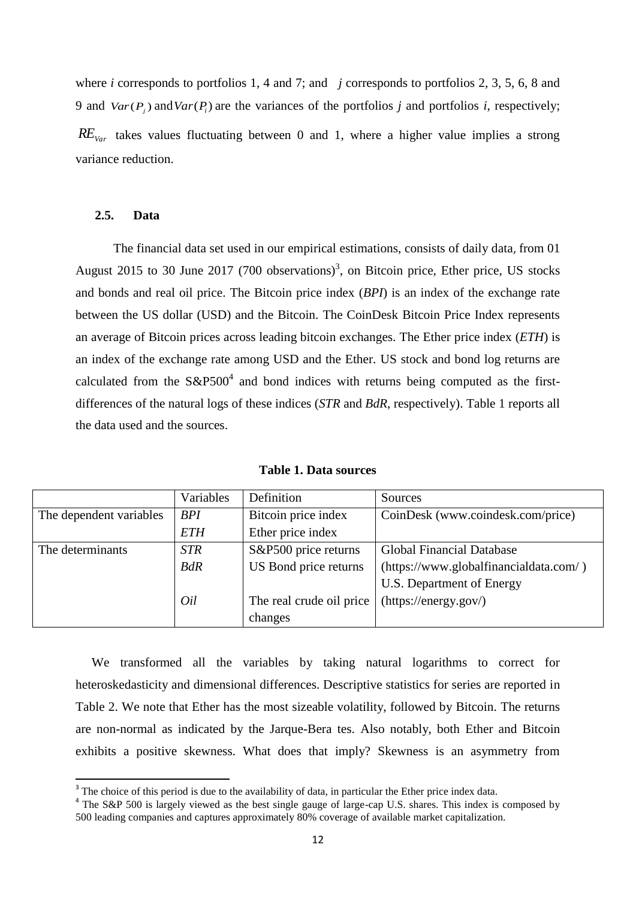where *i* corresponds to portfolios 1, 4 and 7; and *j* corresponds to portfolios 2, 3, 5, 6, 8 and 9 and  $Var(P_j)$  and  $Var(P_i)$  are the variances of the portfolios *j* and portfolios *i*, respectively; *REVar* takes values fluctuating between 0 and 1, where a higher value implies a strong variance reduction.

#### **2.5. Data**

**.** 

The financial data set used in our empirical estimations, consists of daily data, from 01 August 2015 to 30 June 2017 (700 observations)<sup>3</sup>, on Bitcoin price, Ether price, US stocks and bonds and real oil price. The Bitcoin price index (*BPI*) is an index of the exchange rate between the US dollar (USD) and the Bitcoin. The CoinDesk Bitcoin Price Index represents an average of Bitcoin prices across leading bitcoin exchanges. The Ether price index (*ETH*) is an index of the exchange rate among USD and the Ether. US stock and bond log returns are calculated from the  $S\&P500^4$  and bond indices with returns being computed as the firstdifferences of the natural logs of these indices (*STR* and *BdR*, respectively). Table 1 reports all the data used and the sources.

|                         | Variables  | Definition               | Sources                                |
|-------------------------|------------|--------------------------|----------------------------------------|
| The dependent variables | <b>BPI</b> | Bitcoin price index      | CoinDesk (www.coindesk.com/price)      |
|                         | <b>ETH</b> | Ether price index        |                                        |
| The determinants        | <b>STR</b> | S&P500 price returns     | <b>Global Financial Database</b>       |
|                         | <b>BdR</b> | US Bond price returns    | (https://www.globalfinancialdata.com/) |
|                         |            |                          | U.S. Department of Energy              |
|                         | Oil        | The real crude oil price | (https://energy.gov/)                  |
|                         |            | changes                  |                                        |

**Table 1. Data sources**

 We transformed all the variables by taking natural logarithms to correct for heteroskedasticity and dimensional differences. Descriptive statistics for series are reported in Table 2. We note that Ether has the most sizeable volatility, followed by Bitcoin. The returns are non-normal as indicated by the Jarque-Bera tes. Also notably, both Ether and Bitcoin exhibits a positive skewness. What does that imply? Skewness is an asymmetry from

 $3$  The choice of this period is due to the availability of data, in particular the Ether price index data.

<sup>&</sup>lt;sup>4</sup> The S&P 500 is largely viewed as the best single gauge of large-cap U.S. shares. This index is composed by 500 leading companies and captures approximately 80% coverage of available market capitalization.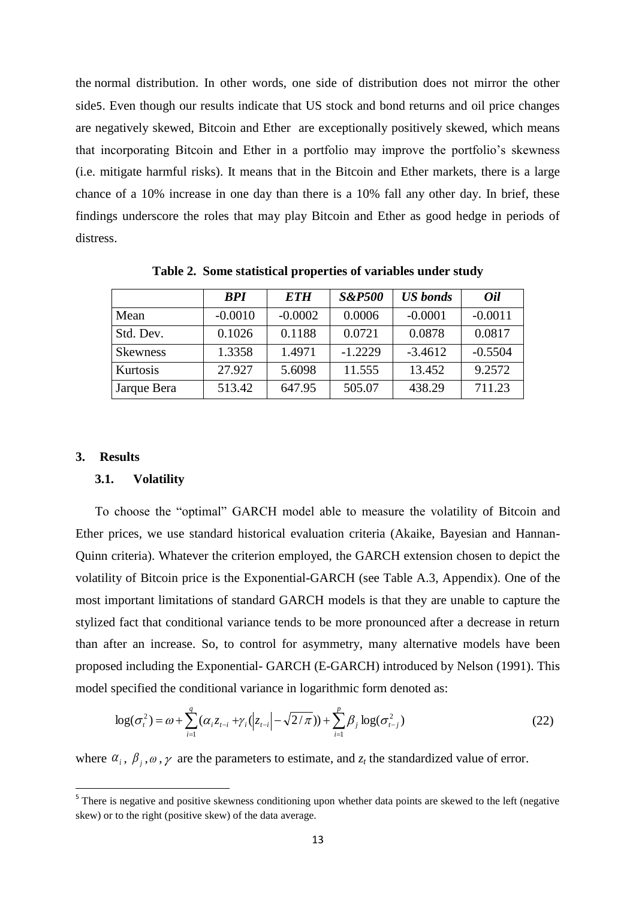the [normal distribution.](http://www.sunshineprofits.com/gold-silver/dictionary/normal-distribution/) In other words, one side of distribution does not mirror the other side5. Even though our results indicate that US stock and bond returns and oil price changes are negatively skewed, Bitcoin and Ether are exceptionally positively skewed, which means that incorporating Bitcoin and Ether in a portfolio may improve the portfolio's skewness (i.e. mitigate harmful risks). It means that in the Bitcoin and Ether markets, there is a large chance of a 10% increase in one day than there is a 10% fall any other day. In brief, these findings underscore the roles that may play Bitcoin and Ether as good hedge in periods of distress.

|                 | <b>BPI</b> | <b>ETH</b> | <b>S&amp;P500</b> | <b>US</b> bonds | <i>Oil</i> |
|-----------------|------------|------------|-------------------|-----------------|------------|
| Mean            | $-0.0010$  | $-0.0002$  | 0.0006            | $-0.0001$       | $-0.0011$  |
| Std. Dev.       | 0.1026     | 0.1188     | 0.0721            | 0.0878          | 0.0817     |
| <b>Skewness</b> | 1.3358     | 1.4971     | $-1.2229$         | $-3.4612$       | $-0.5504$  |
| Kurtosis        | 27.927     | 5.6098     | 11.555            | 13.452          | 9.2572     |
| Jarque Bera     | 513.42     | 647.95     | 505.07            | 438.29          | 711.23     |

**Table 2. Some statistical properties of variables under study**

#### **3. Results**

#### **3.1. Volatility**

To choose the "optimal" GARCH model able to measure the volatility of Bitcoin and Ether prices, we use standard historical evaluation criteria (Akaike, Bayesian and Hannan-Quinn criteria). Whatever the criterion employed, the GARCH extension chosen to depict the volatility of Bitcoin price is the Exponential-GARCH (see Table A.3, Appendix). One of the most important limitations of standard GARCH models is that they are unable to capture the stylized fact that conditional variance tends to be more pronounced after a decrease in return than after an increase. So, to control for asymmetry, many alternative models have been proposed including the Exponential- GARCH (E-GARCH) introduced by Nelson (1991). This model specified the conditional variance in logarithmic form denoted as:

$$
\log(\sigma_i^2) = \omega + \sum_{i=1}^q (\alpha_i z_{t-i} + \gamma_i (|z_{t-i}| - \sqrt{2/\pi})) + \sum_{i=1}^p \beta_i \log(\sigma_{t-j}^2)
$$
 (22)

where  $\alpha_i$ ,  $\beta_j$ ,  $\omega$ ,  $\gamma$  are the parameters to estimate, and  $z_t$  the standardized value of error.

There is negative and positive skewness conditioning upon whether data points are skewed to the left (negative<br><sup>5</sup>There is negative and positive skewness conditioning upon whether data points are skewed to the left (negati skew) or to the right (positive skew) of the data average.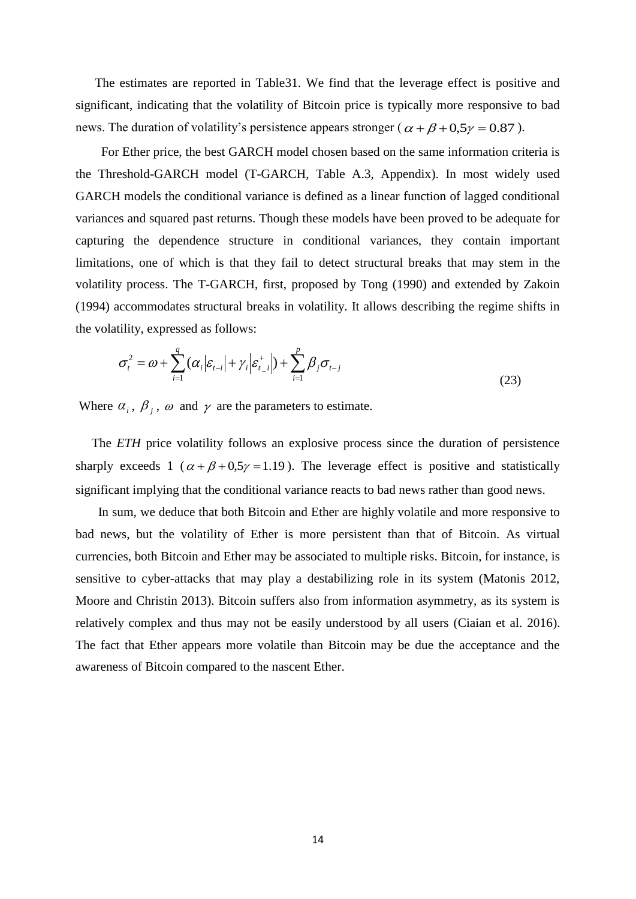The estimates are reported in Table31. We find that the leverage effect is positive and significant, indicating that the volatility of Bitcoin price is typically more responsive to bad news. The duration of volatility's persistence appears stronger ( $\alpha + \beta + 0.5\gamma = 0.87$ ).

 For Ether price, the best GARCH model chosen based on the same information criteria is the Threshold-GARCH model (T-GARCH, Table A.3, Appendix). In most widely used GARCH models the conditional variance is defined as a linear function of lagged conditional variances and squared past returns. Though these models have been proved to be adequate for capturing the dependence structure in conditional variances, they contain important limitations, one of which is that they fail to detect structural breaks that may stem in the volatility process. The T-GARCH, first, proposed by Tong (1990) and extended by Zakoin (1994) accommodates structural breaks in volatility. It allows describing the regime shifts in the volatility, expressed as follows:

$$
\sigma_i^2 = \omega + \sum_{i=1}^q (\alpha_i |\varepsilon_{t-i}| + \gamma_i |\varepsilon_{t-i}^+|) + \sum_{i=1}^p \beta_i \sigma_{t-j}
$$
\n(23)

Where  $\alpha_i$ ,  $\beta_j$ ,  $\omega$  and  $\gamma$  are the parameters to estimate.

 The *ETH* price volatility follows an explosive process since the duration of persistence sharply exceeds 1 ( $\alpha + \beta + 0.5\gamma = 1.19$ ). The leverage effect is positive and statistically significant implying that the conditional variance reacts to bad news rather than good news.

 In sum, we deduce that both Bitcoin and Ether are highly volatile and more responsive to bad news, but the volatility of Ether is more persistent than that of Bitcoin. As virtual currencies, both Bitcoin and Ether may be associated to multiple risks. Bitcoin, for instance, is sensitive to cyber-attacks that may play a destabilizing role in its system (Matonis 2012, Moore and Christin 2013). Bitcoin suffers also from information asymmetry, as its system is relatively complex and thus may not be easily understood by all users (Ciaian et al. 2016). The fact that Ether appears more volatile than Bitcoin may be due the acceptance and the awareness of Bitcoin compared to the nascent Ether.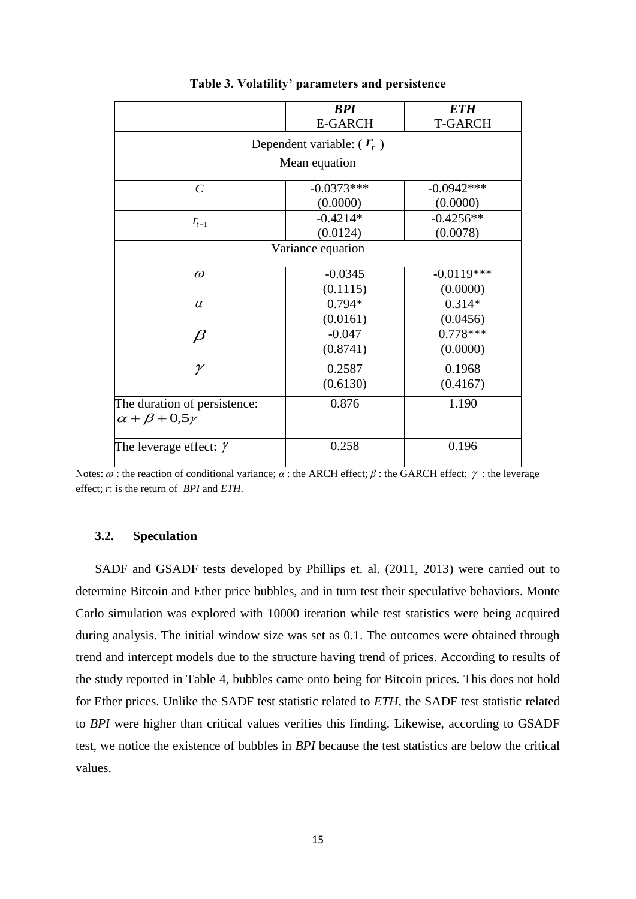|                                       | <b>BPI</b>     | <b>ETH</b>     |  |  |  |
|---------------------------------------|----------------|----------------|--|--|--|
|                                       | <b>E-GARCH</b> | <b>T-GARCH</b> |  |  |  |
| Dependent variable: $(\mathcal{F}_t)$ |                |                |  |  |  |
| Mean equation                         |                |                |  |  |  |
| $\mathcal{C}$                         | $-0.0373***$   | $-0.0942***$   |  |  |  |
|                                       | (0.0000)       | (0.0000)       |  |  |  |
| $r_{t-1}$                             | $-0.4214*$     | $-0.4256**$    |  |  |  |
|                                       | (0.0124)       | (0.0078)       |  |  |  |
| Variance equation                     |                |                |  |  |  |
| $\omega$                              | $-0.0345$      | $-0.0119***$   |  |  |  |
|                                       | (0.1115)       | (0.0000)       |  |  |  |
| $\alpha$                              | $0.794*$       | $0.314*$       |  |  |  |
|                                       | (0.0161)       | (0.0456)       |  |  |  |
| $\beta$                               | $-0.047$       | $0.778***$     |  |  |  |
|                                       | (0.8741)       | (0.0000)       |  |  |  |
| $\gamma$                              | 0.2587         | 0.1968         |  |  |  |
|                                       | (0.6130)       | (0.4167)       |  |  |  |
| The duration of persistence:          | 0.876          | 1.190          |  |  |  |
| $\alpha + \beta + 0.5\gamma$          |                |                |  |  |  |
| The leverage effect: $\gamma$         | 0.258          | 0.196          |  |  |  |

**Table 3. Volatility' parameters and persistence** 

Notes:  $\omega$  : the reaction of conditional variance;  $\alpha$  : the ARCH effect;  $\beta$  : the GARCH effect;  $\gamma$  : the leverage effect; *r*: is the return of *BPI* and *ETH*.

# **3.2. Speculation**

SADF and GSADF tests developed by Phillips et. al. (2011, 2013) were carried out to determine Bitcoin and Ether price bubbles, and in turn test their speculative behaviors. Monte Carlo simulation was explored with 10000 iteration while test statistics were being acquired during analysis. The initial window size was set as 0.1. The outcomes were obtained through trend and intercept models due to the structure having trend of prices. According to results of the study reported in Table 4, bubbles came onto being for Bitcoin prices. This does not hold for Ether prices. Unlike the SADF test statistic related to *ETH*, the SADF test statistic related to *BPI* were higher than critical values verifies this finding. Likewise, according to GSADF test, we notice the existence of bubbles in *BPI* because the test statistics are below the critical values.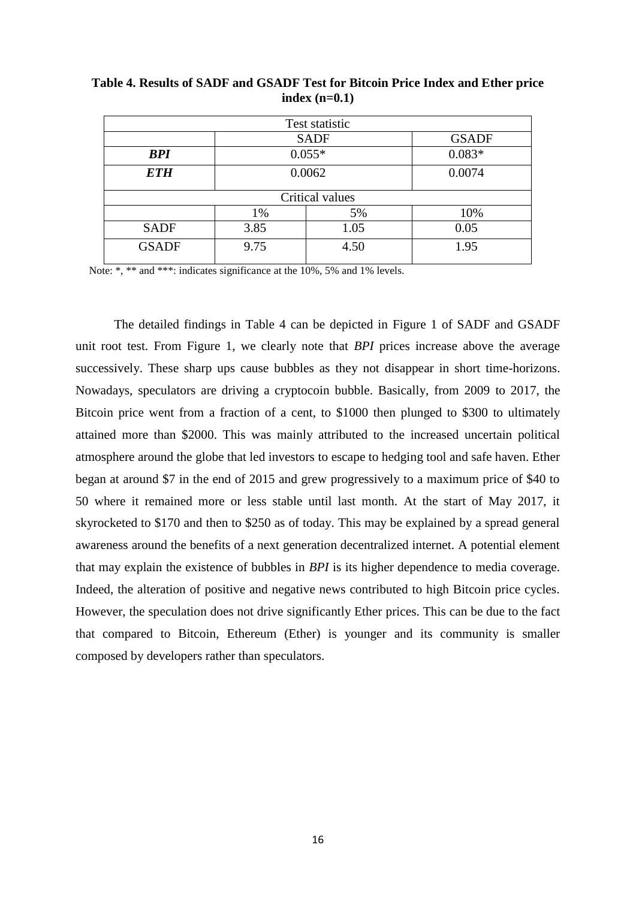| Test statistic  |             |              |          |  |  |
|-----------------|-------------|--------------|----------|--|--|
|                 | <b>SADF</b> | <b>GSADF</b> |          |  |  |
| <b>BPI</b>      | $0.055*$    |              | $0.083*$ |  |  |
| <b>ETH</b>      | 0.0062      |              | 0.0074   |  |  |
| Critical values |             |              |          |  |  |
|                 | 1%          | 5%           | 10%      |  |  |
| <b>SADF</b>     | 3.85        | 1.05         | 0.05     |  |  |
| <b>GSADF</b>    | 9.75        | 4.50         | 1.95     |  |  |

**Table 4. Results of SADF and GSADF Test for Bitcoin Price Index and Ether price index (n=0.1)**

Note: \*, \*\* and \*\*\*: indicates significance at the 10%, 5% and 1% levels.

 The detailed findings in Table 4 can be depicted in Figure 1 of SADF and GSADF unit root test. From Figure 1, we clearly note that *BPI* prices increase above the average successively. These sharp ups cause bubbles as they not disappear in short time-horizons. Nowadays, speculators are driving a cryptocoin bubble. Basically, from 2009 to 2017, the Bitcoin price went from a fraction of a cent, to \$1000 then plunged to \$300 to ultimately attained more than \$2000. This was mainly attributed to the increased uncertain political atmosphere around the globe that led investors to escape to hedging tool and safe haven. Ether began at around \$7 in the end of 2015 and grew progressively to a maximum price of \$40 to 50 where it remained more or less stable until last month. At the start of May 2017, it skyrocketed to \$170 and then to \$250 as of today. This may be explained by a spread general awareness around the benefits of a next generation decentralized internet. A potential element that may explain the existence of bubbles in *BPI* is its higher dependence to media coverage. Indeed, the alteration of positive and negative news contributed to high Bitcoin price cycles. However, the speculation does not drive significantly Ether prices. This can be due to the fact that compared to Bitcoin, Ethereum (Ether) is younger and its community is smaller composed by developers rather than speculators.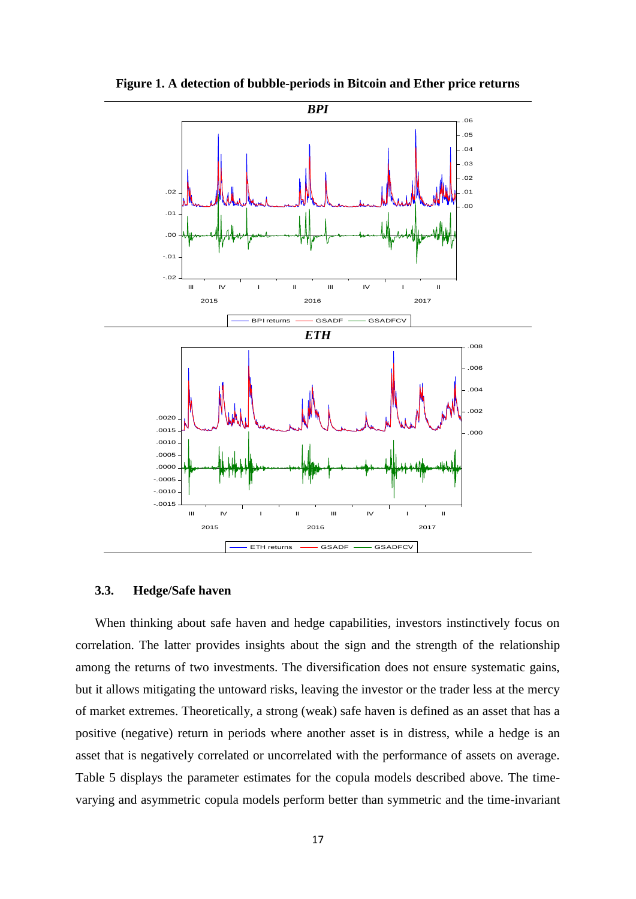

**Figure 1. A detection of bubble-periods in Bitcoin and Ether price returns**

## **3.3. Hedge/Safe haven**

When thinking about safe haven and hedge capabilities, investors instinctively focus on correlation. The latter provides insights about the sign and the strength of the relationship among the returns of two investments. The diversification does not ensure systematic gains, but it allows mitigating the untoward risks, leaving the investor or the trader less at the mercy of market extremes. Theoretically, a strong (weak) safe haven is defined as an asset that has a positive (negative) return in periods where another asset is in distress, while a hedge is an asset that is negatively correlated or uncorrelated with the performance of assets on average. Table 5 displays the parameter estimates for the copula models described above. The timevarying and asymmetric copula models perform better than symmetric and the time-invariant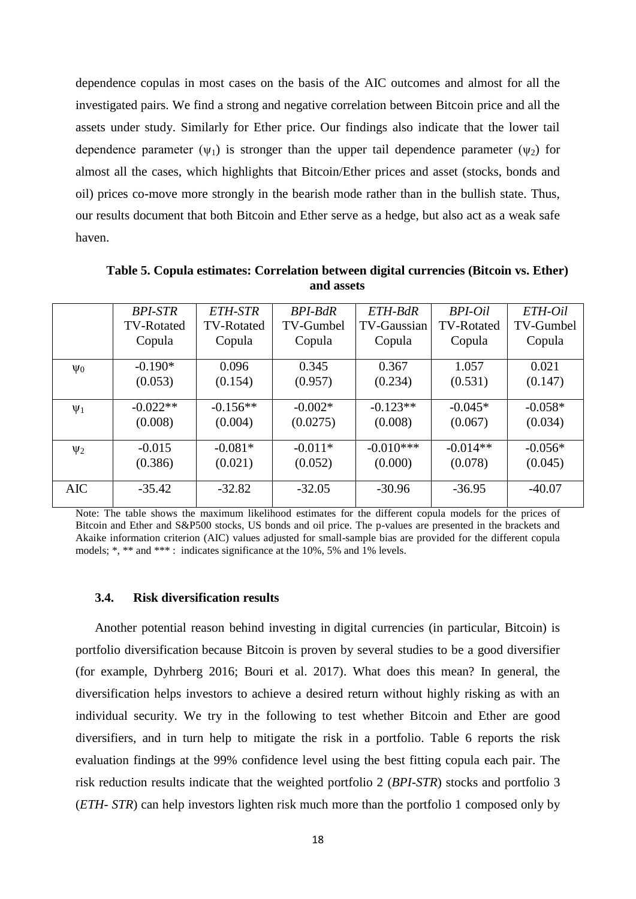dependence copulas in most cases on the basis of the AIC outcomes and almost for all the investigated pairs. We find a strong and negative correlation between Bitcoin price and all the assets under study. Similarly for Ether price. Our findings also indicate that the lower tail dependence parameter  $(\psi_1)$  is stronger than the upper tail dependence parameter  $(\psi_2)$  for almost all the cases, which highlights that Bitcoin/Ether prices and asset (stocks, bonds and oil) prices co-move more strongly in the bearish mode rather than in the bullish state. Thus, our results document that both Bitcoin and Ether serve as a hedge, but also act as a weak safe haven.

|                     | <b>BPI-STR</b> | ETH-STR           | BPI-BdR   | ETH-BdR     | BPI-Oil           | ETH-Oil   |
|---------------------|----------------|-------------------|-----------|-------------|-------------------|-----------|
|                     | TV-Rotated     | <b>TV-Rotated</b> | TV-Gumbel | TV-Gaussian | <b>TV-Rotated</b> | TV-Gumbel |
|                     | Copula         | Copula            | Copula    | Copula      | Copula            | Copula    |
| $\Psi_0$            | $-0.190*$      | 0.096             | 0.345     | 0.367       | 1.057             | 0.021     |
|                     | (0.053)        | (0.154)           | (0.957)   | (0.234)     | (0.531)           | (0.147)   |
| $\Psi_1$            | $-0.022**$     | $-0.156**$        | $-0.002*$ | $-0.123**$  | $-0.045*$         | $-0.058*$ |
|                     | (0.008)        | (0.004)           | (0.0275)  | (0.008)     | (0.067)           | (0.034)   |
| $\Psi$ <sub>2</sub> | $-0.015$       | $-0.081*$         | $-0.011*$ | $-0.010***$ | $-0.014**$        | $-0.056*$ |
|                     | (0.386)        | (0.021)           | (0.052)   | (0.000)     | (0.078)           | (0.045)   |
| <b>AIC</b>          | $-35.42$       | $-32.82$          | $-32.05$  | $-30.96$    | $-36.95$          | $-40.07$  |

**Table 5. Copula estimates: Correlation between digital currencies (Bitcoin vs. Ether) and assets**

Note: The table shows the maximum likelihood estimates for the different copula models for the prices of Bitcoin and Ether and S&P500 stocks, US bonds and oil price. The p-values are presented in the brackets and Akaike information criterion (AIC) values adjusted for small-sample bias are provided for the different copula models; \*, \*\* and \*\*\* : indicates significance at the 10%, 5% and 1% levels.

#### **3.4. Risk diversification results**

Another potential reason behind investing in [digital currencies \(in particular, Bitcoin\) is](http://www.sunshineprofits.com/gold-silver/key-insights/gold-portfolio/)  [portfolio diversification](http://www.sunshineprofits.com/gold-silver/key-insights/gold-portfolio/) because Bitcoin is proven by several studies to be a good diversifier (for example, Dyhrberg 2016; Bouri et al. 2017). What does this mean? In general, the diversification helps investors to achieve a desired return without highly risking as with an individual security. We try in the following to test whether Bitcoin and Ether are good diversifiers, and in turn help to mitigate the risk in a portfolio. Table 6 reports the risk evaluation findings at the 99% confidence level using the best fitting copula each pair. The risk reduction results indicate that the weighted portfolio 2 (*BPI-STR*) stocks and portfolio 3 (*ETH- STR*) can help investors lighten risk much more than the portfolio 1 composed only by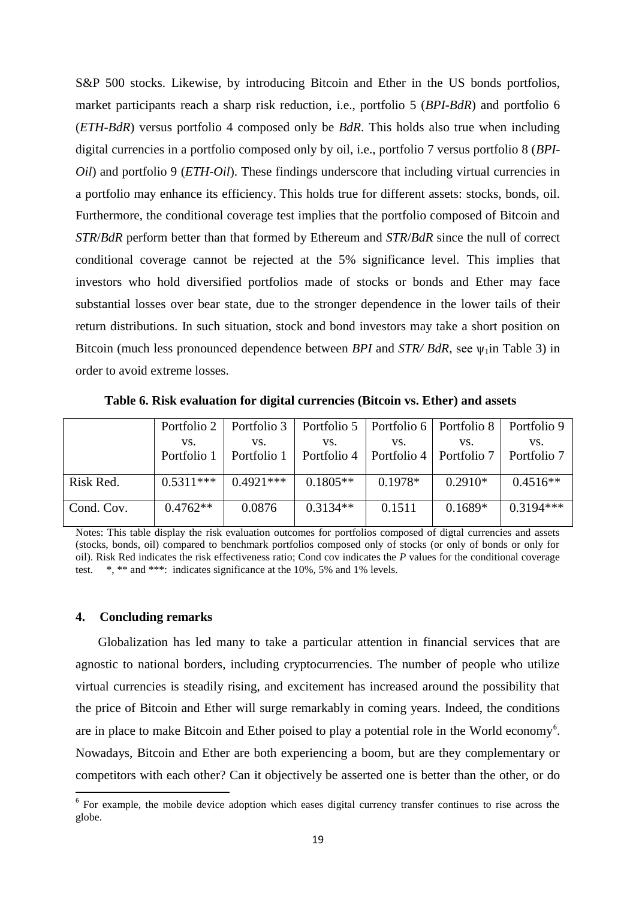S&P 500 stocks. Likewise, by introducing Bitcoin and Ether in the US bonds portfolios, market participants reach a sharp risk reduction, i.e., portfolio 5 (*BPI-BdR*) and portfolio 6 (*ETH-BdR*) versus portfolio 4 composed only be *BdR*. This holds also true when including digital currencies in a portfolio composed only by oil, i.e., portfolio 7 versus portfolio 8 (*BPI-Oil*) and portfolio 9 (*ETH-Oil*). These findings underscore that including virtual currencies in a portfolio may enhance its efficiency. This holds true for different assets: stocks, bonds, oil. Furthermore, the conditional coverage test implies that the portfolio composed of Bitcoin and *STR*/*BdR* perform better than that formed by Ethereum and *STR*/*BdR* since the null of correct conditional coverage cannot be rejected at the 5% significance level. This implies that investors who hold diversified portfolios made of stocks or bonds and Ether may face substantial losses over bear state, due to the stronger dependence in the lower tails of their return distributions. In such situation, stock and bond investors may take a short position on Bitcoin (much less pronounced dependence between *BPI* and *STR/ BdR*, see  $ψ₁$ in Table 3) in order to avoid extreme losses.

| VS.         | VS.         | VS.        | VS.        | VS.       | VS.                                                                                                                                                                                 |
|-------------|-------------|------------|------------|-----------|-------------------------------------------------------------------------------------------------------------------------------------------------------------------------------------|
|             |             |            |            |           |                                                                                                                                                                                     |
|             |             |            |            |           |                                                                                                                                                                                     |
| $0.5311***$ | $0.4921***$ | $0.1805**$ | $0.1978*$  | $0.2910*$ | $0.4516**$                                                                                                                                                                          |
|             |             |            |            |           |                                                                                                                                                                                     |
|             |             |            |            |           | $0.3194***$                                                                                                                                                                         |
|             | $0.4762**$  | 0.0876     | $0.3134**$ | 0.1511    | Portfolio 2   Portfolio 3   Portfolio 5   Portfolio 6   Portfolio 8   Portfolio 9<br>Portfolio 1   Portfolio 1   Portfolio 4   Portfolio 4   Portfolio 7   Portfolio 7<br>$0.1689*$ |

 **Table 6. Risk evaluation for digital currencies (Bitcoin vs. Ether) and assets**

Notes: This table display the risk evaluation outcomes for portfolios composed of digtal currencies and assets (stocks, bonds, oil) compared to benchmark portfolios composed only of stocks (or only of bonds or only for oil). Risk Red indicates the risk effectiveness ratio; Cond cov indicates the *P* values for the conditional coverage test. \*, \*\* and \*\*\*: indicates significance at the 10%, 5% and 1% levels.

# **4. Concluding remarks**

1

 Globalization has led many to take a particular attention in financial services that are agnostic to national borders, including cryptocurrencies. The number of people who utilize virtual currencies is steadily rising, and excitement has increased around the possibility that the price of Bitcoin and Ether will surge remarkably in coming years. Indeed, the conditions are in place to make Bitcoin and Ether poised to play a potential role in the World economy<sup>6</sup>. Nowadays, Bitcoin and Ether are both experiencing a boom, but are they complementary or competitors with each other? Can it objectively be asserted one is better than the other, or do

<sup>&</sup>lt;sup>6</sup> For example, the mobile device adoption which eases digital currency transfer continues to rise across the globe.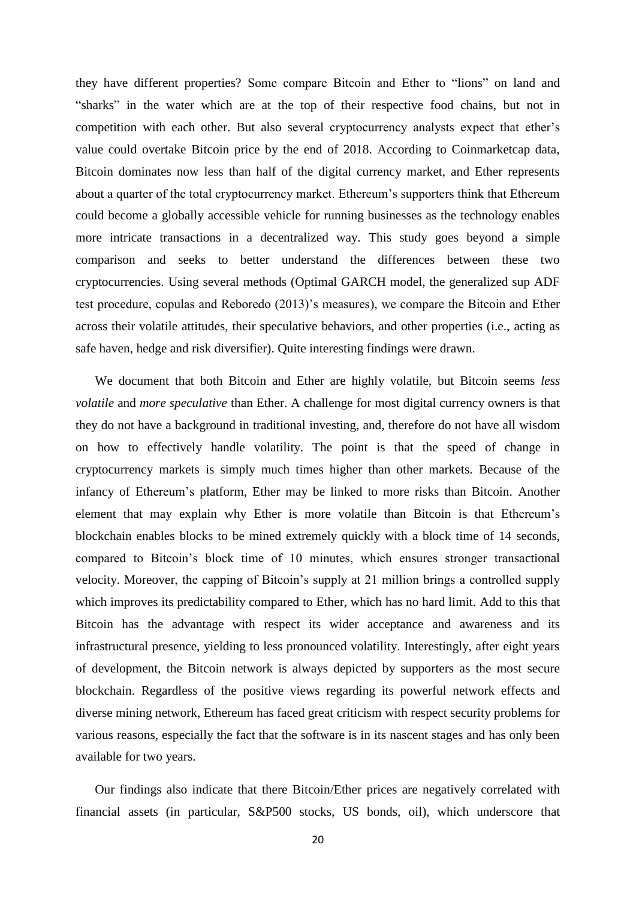they have different properties? Some compare Bitcoin and Ether to "lions" on land and "sharks" in the water which are at the top of their respective food chains, but not in competition with each other. But also several cryptocurrency analysts expect that ether's value could overtake Bitcoin price by the end of 2018. According to Coinmarketcap data, Bitcoin dominates now less than half of the digital currency market, and Ether represents about a quarter of the total cryptocurrency market. Ethereum's supporters think that Ethereum could become a globally accessible vehicle for running businesses as the technology enables more intricate transactions in a decentralized way. This study goes beyond a simple comparison and seeks to better understand the differences between these two cryptocurrencies. Using several methods (Optimal GARCH model, the generalized sup ADF test procedure, copulas and Reboredo (2013)'s measures), we compare the Bitcoin and Ether across their volatile attitudes, their speculative behaviors, and other properties (i.e., acting as safe haven, hedge and risk diversifier). Quite interesting findings were drawn.

 We document that both Bitcoin and Ether are highly volatile, but Bitcoin seems *less volatile* and *more speculative* than Ether. A challenge for most digital currency owners is that they do not have a background in traditional investing, and, therefore do not have all wisdom on how to effectively handle volatility. The point is that the speed of change in cryptocurrency markets is simply much times higher than other markets. Because of the infancy of Ethereum's platform, Ether may be linked to more risks than Bitcoin. Another element that may explain why Ether is more volatile than Bitcoin is that Ethereum's blockchain enables blocks to be mined extremely quickly with a block time of 14 seconds, compared to Bitcoin's block time of 10 minutes, which ensures stronger transactional velocity. Moreover, the capping of Bitcoin's supply at 21 million brings a controlled supply which improves its predictability compared to Ether, which has no hard limit. Add to this that Bitcoin has the advantage with respect its wider acceptance and awareness and its infrastructural presence, yielding to less pronounced volatility. Interestingly, after eight years of development, the Bitcoin network is always depicted by supporters as the most secure blockchain. Regardless of the positive views regarding its powerful network effects and diverse mining network, Ethereum has faced great criticism with respect security problems for various reasons, especially the fact that the software is in its nascent stages and has only been available for two years.

 Our findings also indicate that there Bitcoin/Ether prices are negatively correlated with financial assets (in particular, S&P500 stocks, US bonds, oil), which underscore that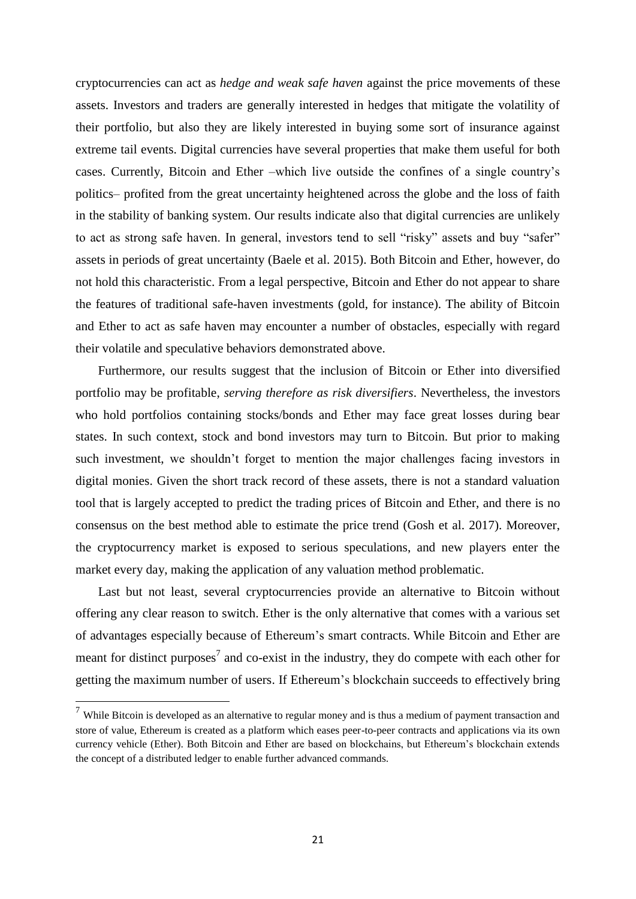cryptocurrencies can act as *hedge and weak safe haven* against the price movements of these assets. Investors and traders are generally interested in hedges that mitigate the volatility of their portfolio, but also they are likely interested in buying some sort of insurance against extreme tail events. Digital currencies have several properties that make them useful for both cases. Currently, Bitcoin and Ether –which live outside the confines of a single country's politics– profited from the great uncertainty heightened across the globe and the loss of faith in the stability of banking system. Our results indicate also that digital currencies are unlikely to act as strong safe haven. In general, investors tend to sell "risky" assets and buy "safer" assets in periods of great uncertainty (Baele et al. 2015). Both Bitcoin and Ether, however, do not hold this characteristic. From a legal perspective, Bitcoin and Ether do not appear to share the features of traditional safe-haven investments (gold, for instance). The ability of Bitcoin and Ether to act as safe haven may encounter a number of obstacles, especially with regard their volatile and speculative behaviors demonstrated above.

 Furthermore, our results suggest that the inclusion of Bitcoin or Ether into diversified portfolio may be profitable, *serving therefore as risk diversifiers*. Nevertheless, the investors who hold portfolios containing stocks/bonds and Ether may face great losses during bear states. In such context, stock and bond investors may turn to Bitcoin. But prior to making such investment, we shouldn't forget to mention the major challenges facing investors in digital monies. Given the short track record of these assets, there is not a standard valuation tool that is largely accepted to predict the trading prices of Bitcoin and Ether, and there is no consensus on the best method able to estimate the price trend (Gosh et al. 2017). Moreover, the cryptocurrency market is exposed to serious speculations, and new players enter the market every day, making the application of any valuation method problematic.

 Last but not least, several cryptocurrencies provide an alternative to Bitcoin without offering any clear reason to switch. Ether is the only alternative that comes with a various set of advantages especially because of Ethereum's smart contracts. While Bitcoin and Ether are meant for distinct purposes<sup>7</sup> and co-exist in the industry, they do compete with each other for getting the maximum number of users. If Ethereum's blockchain succeeds to effectively bring

 $\overline{a}$ 

 $7$  While Bitcoin is developed as an alternative to regular money and is thus a medium of payment transaction and store of value, Ethereum is created as a platform which eases peer-to-peer contracts and applications via its own currency vehicle (Ether). Both Bitcoin and Ether are based on blockchains, but Ethereum's blockchain extends the concept of a distributed ledger to enable further advanced commands.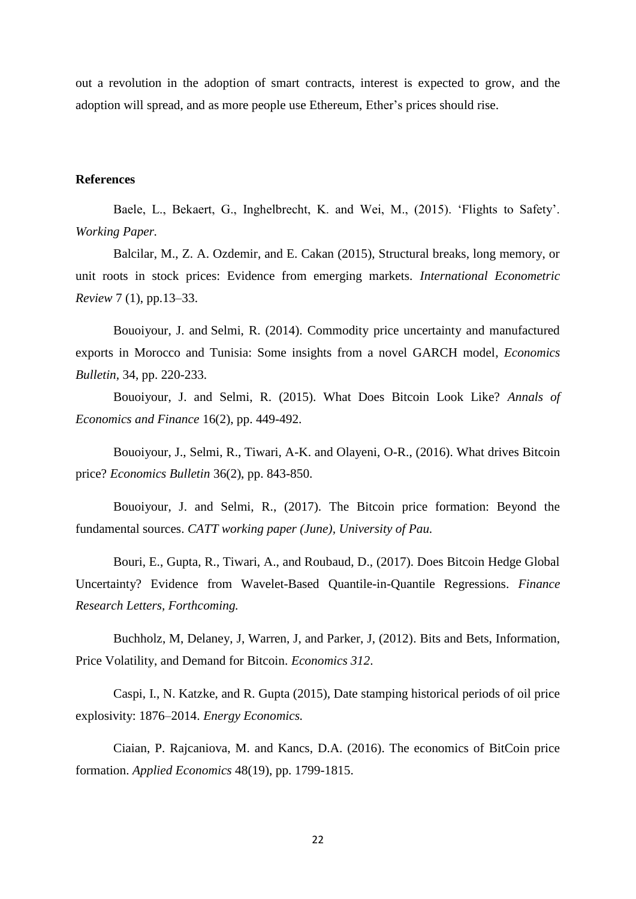out a revolution in the adoption of smart contracts, interest is expected to grow, and the adoption will spread, and as more people use Ethereum, Ether's prices should rise.

#### **References**

Baele, L., Bekaert, G., Inghelbrecht, K. and Wei, M., (2015). 'Flights to Safety'. *Working Paper.*

Balcilar, M., Z. A. Ozdemir, and E. Cakan (2015), Structural breaks, long memory, or unit roots in stock prices: Evidence from emerging markets. *International Econometric Review* 7 (1), pp.13–33.

Bouoiyour, J. and Selmi, R. (2014). [Commodity price uncertainty and manufactured](http://ideas.repec.org/a/ebl/ecbull/eb-13-00149.html)  [exports in Morocco and Tunisia: Some insights from a novel GARCH model,](http://ideas.repec.org/a/ebl/ecbull/eb-13-00149.html) *[Economics](http://ideas.repec.org/s/ebl/ecbull.html)  [Bulletin,](http://ideas.repec.org/s/ebl/ecbull.html)* 34, pp. 220-233.

Bouoiyour, J. and Selmi, R. (2015). What Does Bitcoin Look Like? *Annals of Economics and Finance* 16(2), pp. 449-492.

Bouoiyour, J., Selmi, R., Tiwari, A-K. and Olayeni, O-R., (2016). What [drives Bitcoin](https://ideas.repec.org/a/ebl/ecbull/eb-16-00311.html)  [price?](https://ideas.repec.org/a/ebl/ecbull/eb-16-00311.html) *[Economics Bulletin](https://ideas.repec.org/s/ebl/ecbull.html)* 36(2), pp. 843-850.

Bouoiyour, J. and Selmi, R., (2017). [The Bitcoin price formation: Beyond the](https://www.researchgate.net/publication/318224173_The_Bitcoin_price_formation_Beyond_the_fundamental_sources?_iepl%5BviewId%5D=V3V5knyAryS6ohFmVGpN1xovT0sX3yWPC8L2&_iepl%5Bcontexts%5D%5B0%5D=prfhpi&_iepl%5Bdata%5D%5BstandardItemCount%5D=4&_iepl%5Bdata%5D%5BuserSelectedItemCount%5D=0&_iepl%5Bdata%5D%5BtopHighlightCount%5D=2&_iepl%5Bdata%5D%5BstandardItemIndex%5D=1&_iepl%5Bdata%5D%5BstandardItem1of4%5D=1&_iepl%5BtargetEntityId%5D=PB%3A318224173&_iepl%5BinteractionType%5D=publicationTitle)  [fundamental sources.](https://www.researchgate.net/publication/318224173_The_Bitcoin_price_formation_Beyond_the_fundamental_sources?_iepl%5BviewId%5D=V3V5knyAryS6ohFmVGpN1xovT0sX3yWPC8L2&_iepl%5Bcontexts%5D%5B0%5D=prfhpi&_iepl%5Bdata%5D%5BstandardItemCount%5D=4&_iepl%5Bdata%5D%5BuserSelectedItemCount%5D=0&_iepl%5Bdata%5D%5BtopHighlightCount%5D=2&_iepl%5Bdata%5D%5BstandardItemIndex%5D=1&_iepl%5Bdata%5D%5BstandardItem1of4%5D=1&_iepl%5BtargetEntityId%5D=PB%3A318224173&_iepl%5BinteractionType%5D=publicationTitle) *CATT working paper (June), University of Pau.*

Bouri, E., Gupta, R., Tiwari, A., and Roubaud, D., (2017). Does Bitcoin Hedge Global Uncertainty? Evidence from Wavelet-Based Quantile-in-Quantile Regressions. *Finance Research Letters, Forthcoming.*

Buchholz, M, Delaney, J, Warren, J, and Parker, J, (2012). Bits and Bets, Information, Price Volatility, and Demand for Bitcoin. *Economics 312*.

Caspi, I., N. Katzke, and R. Gupta (2015), Date stamping historical periods of oil price explosivity: 1876–2014. *Energy Economics.*

Ciaian, P. Rajcaniova, M. and Kancs, D.A. (2016). The economics of BitCoin price formation. *Applied Economics* 48(19), pp. 1799-1815.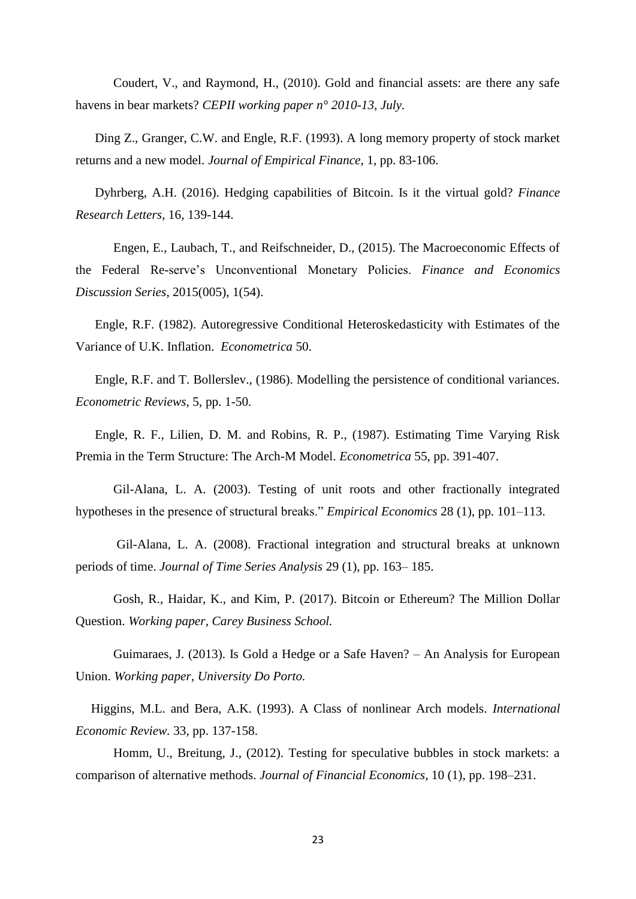Coudert, V., and Raymond, H., (2010). Gold and financial assets: are there any safe havens in bear markets? *CEPII working paper n° 2010-13, July.*

Ding Z., Granger, C.W. and Engle, R.F. (1993). A long memory property of stock market returns and a new model. *Journal of Empirical Finance,* 1, pp. 83-106.

Dyhrberg, A.H. (2016). Hedging capabilities of Bitcoin. Is it the virtual gold? *Finance Research Letters*, 16, 139-144.

Engen, E., Laubach, T., and Reifschneider, D., (2015). The Macroeconomic Effects of the Federal Re-serve's Unconventional Monetary Policies. *Finance and Economics Discussion Series*, 2015(005), 1(54).

Engle, R.F. (1982). Autoregressive Conditional Heteroskedasticity with Estimates of the Variance of U.K. Inflation. *Econometrica* 50.

Engle, R.F. and T. Bollerslev., (1986). Modelling the persistence of conditional variances. *Econometric Reviews,* 5, pp. 1-50.

Engle, R. F., Lilien, D. M. and Robins, R. P., (1987). Estimating Time Varying Risk Premia in the Term Structure: The Arch-M Model. *Econometrica* 55, pp. 391-407.

Gil-Alana, L. A. (2003). Testing of unit roots and other fractionally integrated hypotheses in the presence of structural breaks." *Empirical Economics* 28 (1), pp. 101–113.

Gil-Alana, L. A. (2008). Fractional integration and structural breaks at unknown periods of time. *Journal of Time Series Analysis* 29 (1), pp. 163– 185.

Gosh, R., Haidar, K., and Kim, P. (2017). Bitcoin or Ethereum? The Million Dollar Question. *Working paper, Carey Business School.*

Guimaraes, J. (2013). Is Gold a Hedge or a Safe Haven? – An Analysis for European Union. *Working paper, University Do Porto.*

Higgins, M.L. and Bera, A.K. (1993). A Class of nonlinear Arch models. *International Economic Review.* 33, pp. 137-158.

Homm, U., Breitung, J., (2012). Testing for speculative bubbles in stock markets: a comparison of alternative methods. *Journal of Financial Economics*, 10 (1), pp. 198–231.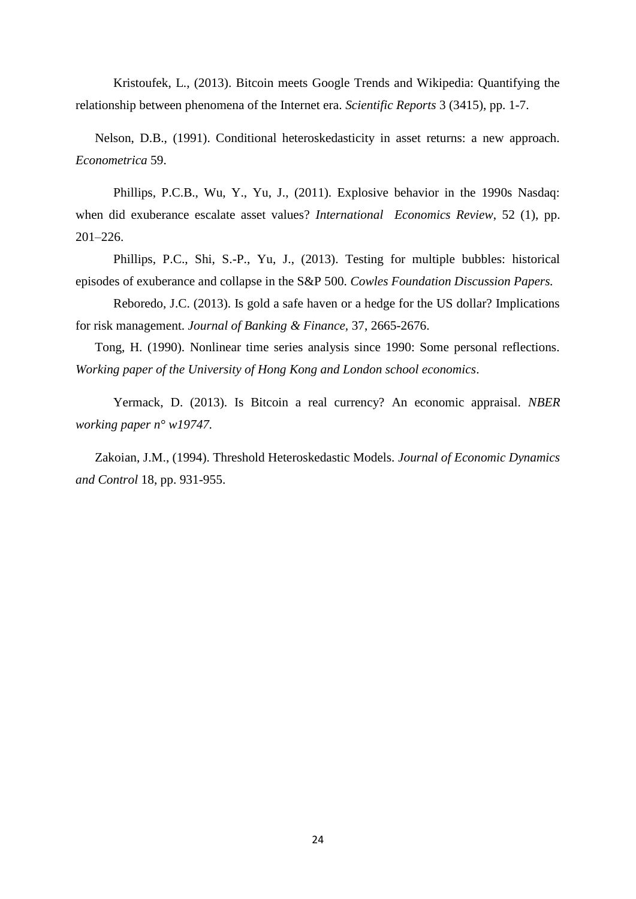Kristoufek, L., (2013). Bitcoin meets Google Trends and Wikipedia: Quantifying the relationship between phenomena of the Internet era. *Scientific Reports* 3 (3415), pp. 1-7.

Nelson, D.B., (1991). Conditional heteroskedasticity in asset returns: a new approach. *Econometrica* 59.

Phillips, P.C.B., Wu, Y., Yu, J., (2011). Explosive behavior in the 1990s Nasdaq: when did exuberance escalate asset values? *International Economics Review*, 52 (1), pp. 201–226.

Phillips, P.C., Shi, S.-P., Yu, J., (2013). Testing for multiple bubbles: historical episodes of exuberance and collapse in the S&P 500. *Cowles Foundation Discussion Papers.* 

Reboredo, J.C. (2013). Is gold a safe haven or a hedge for the US dollar? Implications for risk management. *Journal of Banking & Finance,* 37, 2665-2676.

Tong, H. (1990). Nonlinear time series analysis since 1990: Some personal reflections*. Working paper of the University of Hong Kong and London school economics*.

Yermack, D. (2013). Is Bitcoin a real currency? An economic appraisal. *NBER working paper n° w19747.*

Zakoian, J.M., (1994). Threshold Heteroskedastic Models. *Journal of Economic Dynamics and Control* 18, pp. 931-955.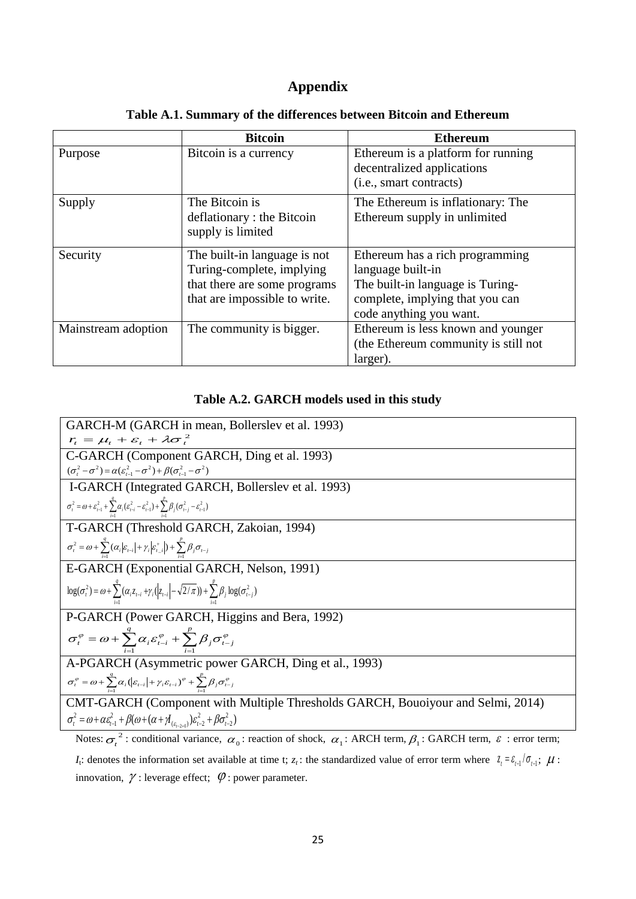# **Appendix**

|                     | <b>Bitcoin</b>                | <b>Ethereum</b>                                                  |
|---------------------|-------------------------------|------------------------------------------------------------------|
| Purpose             | Bitcoin is a currency         | Ethereum is a platform for running<br>decentralized applications |
|                     |                               | (i.e., smart contracts)                                          |
| Supply              | The Bitcoin is                | The Ethereum is inflationary: The                                |
|                     | deflationary : the Bitcoin    | Ethereum supply in unlimited                                     |
|                     | supply is limited             |                                                                  |
| Security            | The built-in language is not  | Ethereum has a rich programming                                  |
|                     | Turing-complete, implying     | language built-in                                                |
|                     | that there are some programs  | The built-in language is Turing-                                 |
|                     | that are impossible to write. | complete, implying that you can                                  |
|                     |                               | code anything you want.                                          |
| Mainstream adoption | The community is bigger.      | Ethereum is less known and younger                               |
|                     |                               | (the Ethereum community is still not                             |
|                     |                               | larger).                                                         |

# **Table A.1. Summary of the differences between Bitcoin and Ethereum**

# **Table A.2. GARCH models used in this study**

**GARCH-M (GARCH in mean, Bollerslev et al.** 1993)  
\n
$$
\vec{r}_i = \mu_i + \varepsilon_i + \lambda \sigma_i^2
$$
\n**C-GARCH (Component GARCH, Ding et al.** 1993)  
\n
$$
\frac{(\sigma_i^2 - \sigma^2) = \alpha(\varepsilon_{i-1}^2 - \sigma^2) + \beta(\sigma_{i-1}^2 - \sigma^2)}{(\sigma_i^2 - \sigma^2 - \sigma^2 + \varepsilon_{i-1}^2 - \sigma^2) + \beta(\sigma_{i-1}^2 - \sigma^2)}
$$
\n**1-GARCH (Integrated GARCH, Bollerslev et al.** 1993)  
\n
$$
\sigma_i^2 = \omega + \varepsilon_{i-1}^2 + \sum_{j=1}^4 \alpha_j(\varepsilon_{i-1}^2 - \varepsilon_{i-1}^2) + \sum_{j=1}^4 \beta_j(\sigma_{i-j}^2 - \varepsilon_{i-1}^2)
$$
\n**T-GARCH (Threshold GARCH, Zakoian, 1994)**  
\n
$$
\sigma_i^2 = \omega + \sum_{j=1}^4 (\alpha_j|\varepsilon_{i-1}| + \gamma_i|\varepsilon_{i-1}^2) + \sum_{j=1}^4 \beta_j \sigma_{i-j}
$$
\n**E-GARCH (Exponential GARCH, Nelson, 1991)**  
\n
$$
\log(\sigma_i^2) = \omega + \sum_{j=1}^4 (\alpha_i \varepsilon_{i-j} + \gamma_j(\varepsilon_{i-1}) - \sqrt{2/\pi}) + \sum_{j=1}^4 \beta_j \log(\sigma_{i-j}^2)
$$
\n**P-GARCH (Power GARCH, H, Ding et al., 1993)**  
\n
$$
\sigma_i^{\varphi} = \omega + \sum_{i=1}^4 \alpha_i \varepsilon_{i-1}^{\varphi} + \sum_{j=1}^4 \beta_j \sigma_{i-j}^{\varphi}
$$
\n**A-PGARCH (Asymmetric power GARCH, Ding et al., 1993)**  
\n
$$
\sigma_i^{\varphi} = \omega + \sum_{i=1}^4 \alpha_i(\varepsilon_{i-1} + \gamma_i \varepsilon_{i-1})^{\varphi} + \sum_{j=1}^4 \beta_j \sigma_{i-j}^{\varphi}
$$
\n**CMT-GARCH (Component with Multiple Thresholds GARCH, Bouoi your and Selmi, 2014)**<

Notes:  $\sigma_t^2$ : conditional variance,  $\alpha_0$ : reaction of shock,  $\alpha_1$ : ARCH term,  $\beta_1$ : GARCH term,  $\varepsilon$ : error term; *I*<sub>t</sub>: denotes the information set available at time t;  $z_t$ : the standardized value of error term where  $z_t = \varepsilon_{t-1}/\sigma_{t-1}$ ;  $\mu$ : innovation,  $\gamma$ : leverage effect;  $\varphi$ : power parameter.